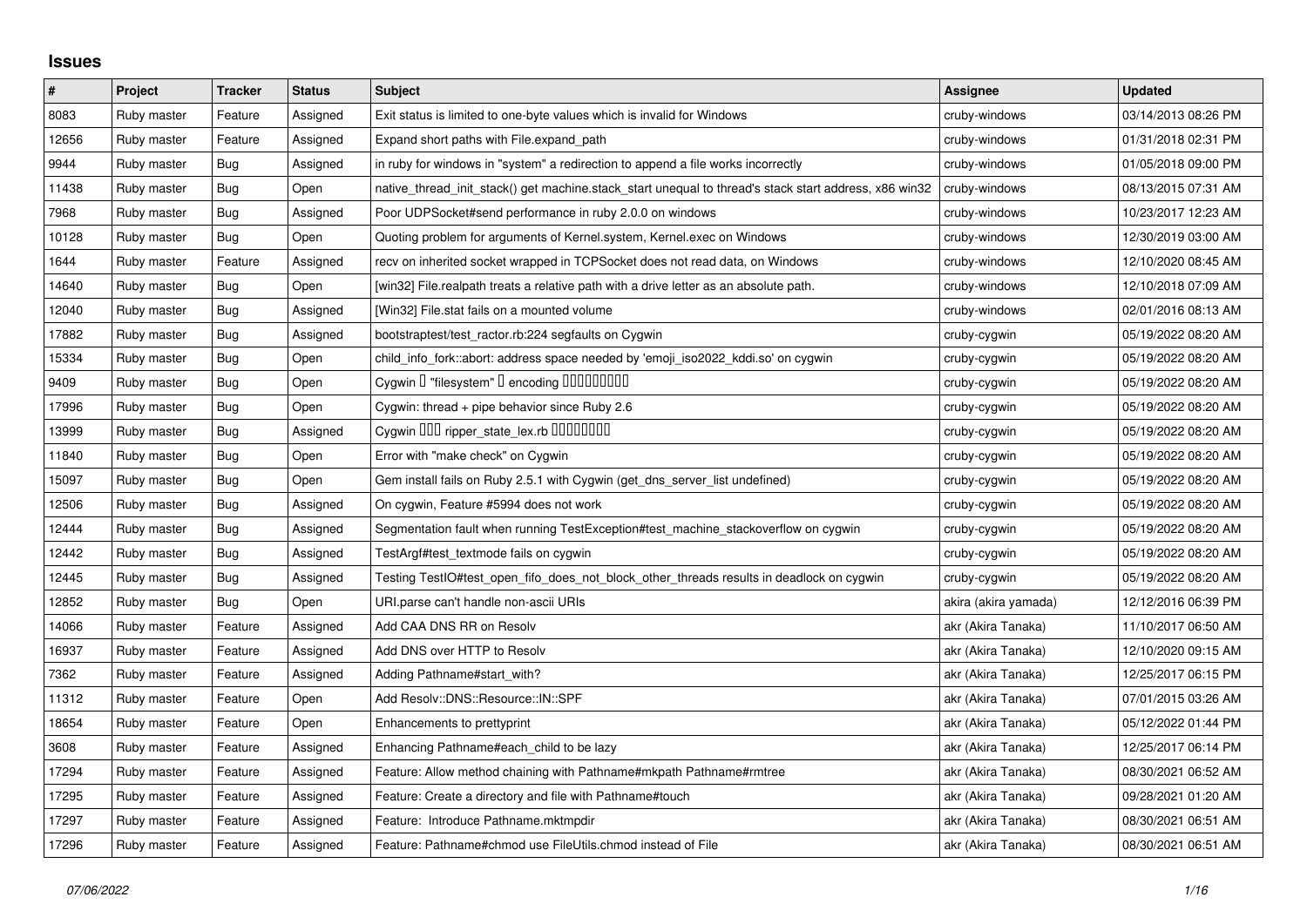## **Issues**

| $\#$  | Project     | <b>Tracker</b> | <b>Status</b> | <b>Subject</b>                                                                                        | Assignee             | <b>Updated</b>      |
|-------|-------------|----------------|---------------|-------------------------------------------------------------------------------------------------------|----------------------|---------------------|
| 8083  | Ruby master | Feature        | Assigned      | Exit status is limited to one-byte values which is invalid for Windows                                | cruby-windows        | 03/14/2013 08:26 PM |
| 12656 | Ruby master | Feature        | Assigned      | Expand short paths with File.expand_path                                                              | cruby-windows        | 01/31/2018 02:31 PM |
| 9944  | Ruby master | Bug            | Assigned      | in ruby for windows in "system" a redirection to append a file works incorrectly                      | cruby-windows        | 01/05/2018 09:00 PM |
| 11438 | Ruby master | Bug            | Open          | native thread init stack() get machine.stack start unequal to thread's stack start address, x86 win32 | cruby-windows        | 08/13/2015 07:31 AM |
| 7968  | Ruby master | Bug            | Assigned      | Poor UDPS ocket#send performance in ruby 2.0.0 on windows                                             | cruby-windows        | 10/23/2017 12:23 AM |
| 10128 | Ruby master | Bug            | Open          | Quoting problem for arguments of Kernel.system, Kernel.exec on Windows                                | cruby-windows        | 12/30/2019 03:00 AM |
| 1644  | Ruby master | Feature        | Assigned      | recv on inherited socket wrapped in TCPSocket does not read data, on Windows                          | cruby-windows        | 12/10/2020 08:45 AM |
| 14640 | Ruby master | Bug            | Open          | [win32] File.realpath treats a relative path with a drive letter as an absolute path.                 | cruby-windows        | 12/10/2018 07:09 AM |
| 12040 | Ruby master | Bug            | Assigned      | [Win32] File.stat fails on a mounted volume                                                           | cruby-windows        | 02/01/2016 08:13 AM |
| 17882 | Ruby master | <b>Bug</b>     | Assigned      | bootstraptest/test_ractor.rb:224 segfaults on Cygwin                                                  | cruby-cygwin         | 05/19/2022 08:20 AM |
| 15334 | Ruby master | Bug            | Open          | child_info_fork::abort: address space needed by 'emoji_iso2022_kddi.so' on cygwin                     | cruby-cygwin         | 05/19/2022 08:20 AM |
| 9409  | Ruby master | <b>Bug</b>     | Open          | Cygwin I "filesystem" I encoding IIIIIIIIIIII                                                         | cruby-cygwin         | 05/19/2022 08:20 AM |
| 17996 | Ruby master | <b>Bug</b>     | Open          | Cygwin: thread + pipe behavior since Ruby 2.6                                                         | cruby-cygwin         | 05/19/2022 08:20 AM |
| 13999 | Ruby master | Bug            | Assigned      | Cygwin 000 ripper_state_lex.rb 0000000                                                                | cruby-cygwin         | 05/19/2022 08:20 AM |
| 11840 | Ruby master | Bug            | Open          | Error with "make check" on Cygwin                                                                     | cruby-cygwin         | 05/19/2022 08:20 AM |
| 15097 | Ruby master | <b>Bug</b>     | Open          | Gem install fails on Ruby 2.5.1 with Cygwin (get_dns_server_list undefined)                           | cruby-cygwin         | 05/19/2022 08:20 AM |
| 12506 | Ruby master | Bug            | Assigned      | On cygwin, Feature #5994 does not work                                                                | cruby-cygwin         | 05/19/2022 08:20 AM |
| 12444 | Ruby master | Bug            | Assigned      | Segmentation fault when running TestException#test machine stackoverflow on cygwin                    | cruby-cygwin         | 05/19/2022 08:20 AM |
| 12442 | Ruby master | Bug            | Assigned      | TestArgf#test_textmode fails on cygwin                                                                | cruby-cygwin         | 05/19/2022 08:20 AM |
| 12445 | Ruby master | <b>Bug</b>     | Assigned      | Testing TestIO#test_open_fifo_does_not_block_other_threads results in deadlock on cygwin              | cruby-cygwin         | 05/19/2022 08:20 AM |
| 12852 | Ruby master | <b>Bug</b>     | Open          | URI.parse can't handle non-ascii URIs                                                                 | akira (akira yamada) | 12/12/2016 06:39 PM |
| 14066 | Ruby master | Feature        | Assigned      | Add CAA DNS RR on Resolv                                                                              | akr (Akira Tanaka)   | 11/10/2017 06:50 AM |
| 16937 | Ruby master | Feature        | Assigned      | Add DNS over HTTP to Resolv                                                                           | akr (Akira Tanaka)   | 12/10/2020 09:15 AM |
| 7362  | Ruby master | Feature        | Assigned      | Adding Pathname#start_with?                                                                           | akr (Akira Tanaka)   | 12/25/2017 06:15 PM |
| 11312 | Ruby master | Feature        | Open          | Add Resolv::DNS::Resource::IN::SPF                                                                    | akr (Akira Tanaka)   | 07/01/2015 03:26 AM |
| 18654 | Ruby master | Feature        | Open          | Enhancements to prettyprint                                                                           | akr (Akira Tanaka)   | 05/12/2022 01:44 PM |
| 3608  | Ruby master | Feature        | Assigned      | Enhancing Pathname#each_child to be lazy                                                              | akr (Akira Tanaka)   | 12/25/2017 06:14 PM |
| 17294 | Ruby master | Feature        | Assigned      | Feature: Allow method chaining with Pathname#mkpath Pathname#rmtree                                   | akr (Akira Tanaka)   | 08/30/2021 06:52 AM |
| 17295 | Ruby master | Feature        | Assigned      | Feature: Create a directory and file with Pathname#touch                                              | akr (Akira Tanaka)   | 09/28/2021 01:20 AM |
| 17297 | Ruby master | Feature        | Assigned      | Feature: Introduce Pathname.mktmpdir                                                                  | akr (Akira Tanaka)   | 08/30/2021 06:51 AM |
| 17296 | Ruby master | Feature        | Assigned      | Feature: Pathname#chmod use FileUtils.chmod instead of File                                           | akr (Akira Tanaka)   | 08/30/2021 06:51 AM |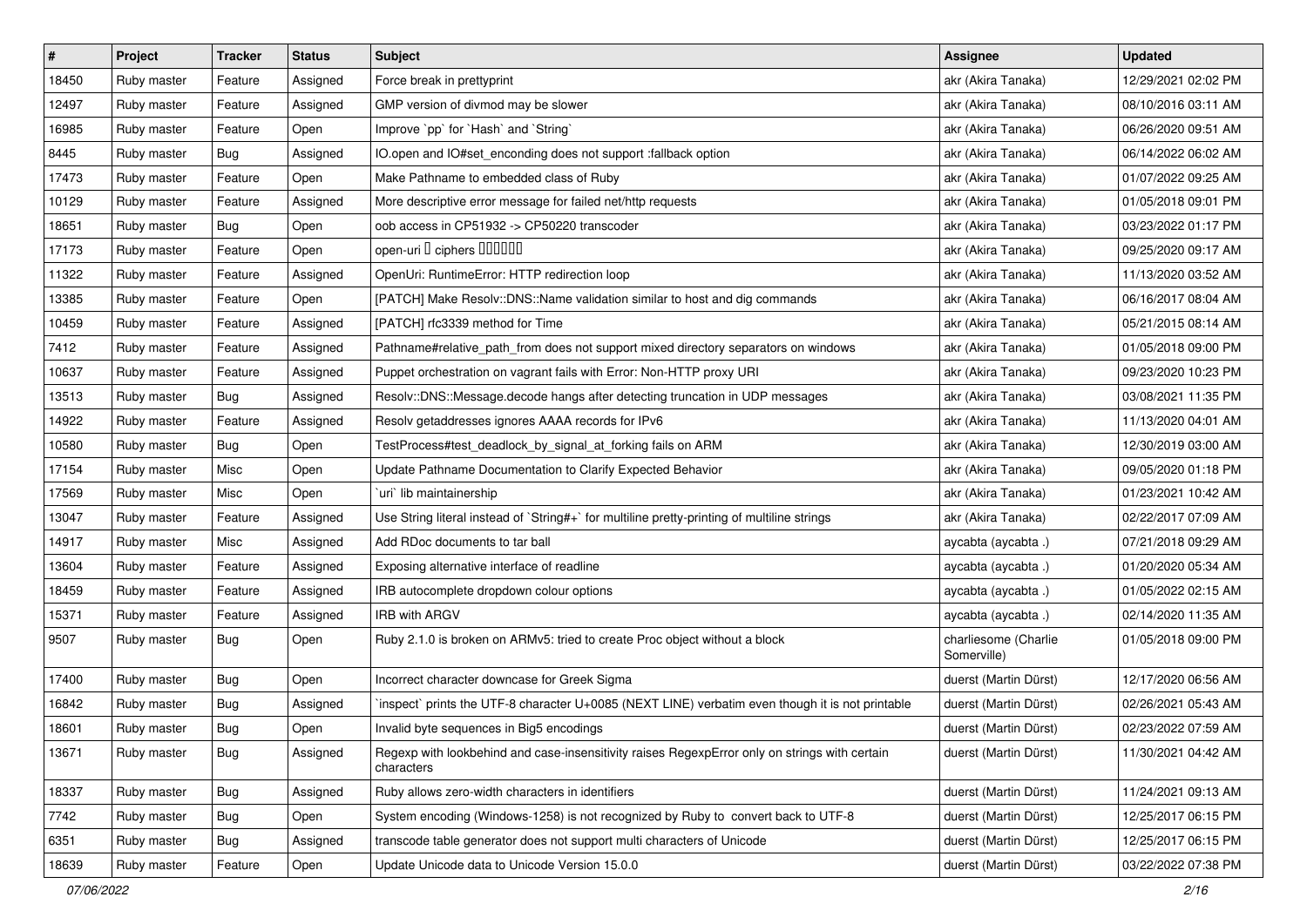| $\sharp$ | Project     | <b>Tracker</b> | <b>Status</b> | <b>Subject</b>                                                                                              | <b>Assignee</b>                     | <b>Updated</b>      |
|----------|-------------|----------------|---------------|-------------------------------------------------------------------------------------------------------------|-------------------------------------|---------------------|
| 18450    | Ruby master | Feature        | Assigned      | Force break in prettyprint                                                                                  | akr (Akira Tanaka)                  | 12/29/2021 02:02 PM |
| 12497    | Ruby master | Feature        | Assigned      | GMP version of divmod may be slower                                                                         | akr (Akira Tanaka)                  | 08/10/2016 03:11 AM |
| 16985    | Ruby master | Feature        | Open          | Improve `pp` for `Hash` and `String`                                                                        | akr (Akira Tanaka)                  | 06/26/2020 09:51 AM |
| 8445     | Ruby master | Bug            | Assigned      | IO.open and IO#set_enconding does not support :fallback option                                              | akr (Akira Tanaka)                  | 06/14/2022 06:02 AM |
| 17473    | Ruby master | Feature        | Open          | Make Pathname to embedded class of Ruby                                                                     | akr (Akira Tanaka)                  | 01/07/2022 09:25 AM |
| 10129    | Ruby master | Feature        | Assigned      | More descriptive error message for failed net/http requests                                                 | akr (Akira Tanaka)                  | 01/05/2018 09:01 PM |
| 18651    | Ruby master | Bug            | Open          | oob access in CP51932 -> CP50220 transcoder                                                                 | akr (Akira Tanaka)                  | 03/23/2022 01:17 PM |
| 17173    | Ruby master | Feature        | Open          | open-uri D ciphers DOODOO                                                                                   | akr (Akira Tanaka)                  | 09/25/2020 09:17 AM |
| 11322    | Ruby master | Feature        | Assigned      | OpenUri: RuntimeError: HTTP redirection loop                                                                | akr (Akira Tanaka)                  | 11/13/2020 03:52 AM |
| 13385    | Ruby master | Feature        | Open          | [PATCH] Make Resolv::DNS::Name validation similar to host and dig commands                                  | akr (Akira Tanaka)                  | 06/16/2017 08:04 AM |
| 10459    | Ruby master | Feature        | Assigned      | [PATCH] rfc3339 method for Time                                                                             | akr (Akira Tanaka)                  | 05/21/2015 08:14 AM |
| 7412     | Ruby master | Feature        | Assigned      | Pathname#relative_path_from does not support mixed directory separators on windows                          | akr (Akira Tanaka)                  | 01/05/2018 09:00 PM |
| 10637    | Ruby master | Feature        | Assigned      | Puppet orchestration on vagrant fails with Error: Non-HTTP proxy URI                                        | akr (Akira Tanaka)                  | 09/23/2020 10:23 PM |
| 13513    | Ruby master | Bug            | Assigned      | Resolv::DNS::Message.decode hangs after detecting truncation in UDP messages                                | akr (Akira Tanaka)                  | 03/08/2021 11:35 PM |
| 14922    | Ruby master | Feature        | Assigned      | Resolv getaddresses ignores AAAA records for IPv6                                                           | akr (Akira Tanaka)                  | 11/13/2020 04:01 AM |
| 10580    | Ruby master | Bug            | Open          | TestProcess#test_deadlock_by_signal_at_forking fails on ARM                                                 | akr (Akira Tanaka)                  | 12/30/2019 03:00 AM |
| 17154    | Ruby master | Misc           | Open          | Update Pathname Documentation to Clarify Expected Behavior                                                  | akr (Akira Tanaka)                  | 09/05/2020 01:18 PM |
| 17569    | Ruby master | Misc           | Open          | uri lib maintainership                                                                                      | akr (Akira Tanaka)                  | 01/23/2021 10:42 AM |
| 13047    | Ruby master | Feature        | Assigned      | Use String literal instead of `String#+` for multiline pretty-printing of multiline strings                 | akr (Akira Tanaka)                  | 02/22/2017 07:09 AM |
| 14917    | Ruby master | Misc           | Assigned      | Add RDoc documents to tar ball                                                                              | aycabta (aycabta.)                  | 07/21/2018 09:29 AM |
| 13604    | Ruby master | Feature        | Assigned      | Exposing alternative interface of readline                                                                  | aycabta (aycabta.)                  | 01/20/2020 05:34 AM |
| 18459    | Ruby master | Feature        | Assigned      | IRB autocomplete dropdown colour options                                                                    | aycabta (aycabta.)                  | 01/05/2022 02:15 AM |
| 15371    | Ruby master | Feature        | Assigned      | IRB with ARGV                                                                                               | aycabta (aycabta.)                  | 02/14/2020 11:35 AM |
| 9507     | Ruby master | Bug            | Open          | Ruby 2.1.0 is broken on ARMv5: tried to create Proc object without a block                                  | charliesome (Charlie<br>Somerville) | 01/05/2018 09:00 PM |
| 17400    | Ruby master | Bug            | Open          | Incorrect character downcase for Greek Sigma                                                                | duerst (Martin Dürst)               | 12/17/2020 06:56 AM |
| 16842    | Ruby master | Bug            | Assigned      | inspect` prints the UTF-8 character U+0085 (NEXT LINE) verbatim even though it is not printable             | duerst (Martin Dürst)               | 02/26/2021 05:43 AM |
| 18601    | Ruby master | <b>Bug</b>     | Open          | Invalid byte sequences in Big5 encodings                                                                    | duerst (Martin Dürst)               | 02/23/2022 07:59 AM |
| 13671    | Ruby master | <b>Bug</b>     | Assigned      | Regexp with lookbehind and case-insensitivity raises RegexpError only on strings with certain<br>characters | duerst (Martin Dürst)               | 11/30/2021 04:42 AM |
| 18337    | Ruby master | <b>Bug</b>     | Assigned      | Ruby allows zero-width characters in identifiers                                                            | duerst (Martin Dürst)               | 11/24/2021 09:13 AM |
| 7742     | Ruby master | <b>Bug</b>     | Open          | System encoding (Windows-1258) is not recognized by Ruby to convert back to UTF-8                           | duerst (Martin Dürst)               | 12/25/2017 06:15 PM |
| 6351     | Ruby master | <b>Bug</b>     | Assigned      | transcode table generator does not support multi characters of Unicode                                      | duerst (Martin Dürst)               | 12/25/2017 06:15 PM |
| 18639    | Ruby master | Feature        | Open          | Update Unicode data to Unicode Version 15.0.0                                                               | duerst (Martin Dürst)               | 03/22/2022 07:38 PM |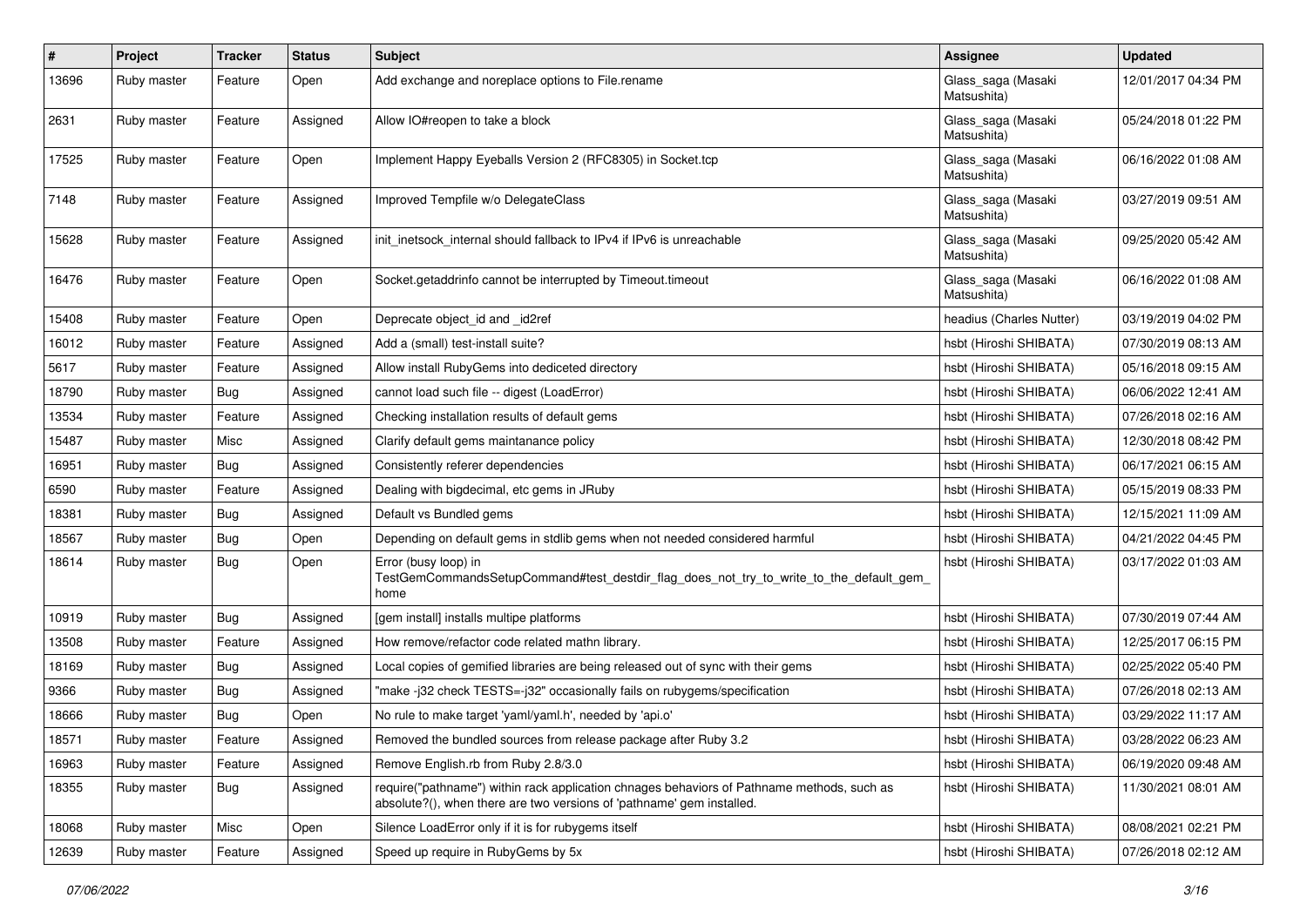| #     | Project     | <b>Tracker</b> | <b>Status</b> | <b>Subject</b>                                                                                                                                                      | Assignee                          | <b>Updated</b>      |
|-------|-------------|----------------|---------------|---------------------------------------------------------------------------------------------------------------------------------------------------------------------|-----------------------------------|---------------------|
| 13696 | Ruby master | Feature        | Open          | Add exchange and noreplace options to File.rename                                                                                                                   | Glass_saga (Masaki<br>Matsushita) | 12/01/2017 04:34 PM |
| 2631  | Ruby master | Feature        | Assigned      | Allow IO#reopen to take a block                                                                                                                                     | Glass_saga (Masaki<br>Matsushita) | 05/24/2018 01:22 PM |
| 17525 | Ruby master | Feature        | Open          | Implement Happy Eyeballs Version 2 (RFC8305) in Socket.tcp                                                                                                          | Glass_saga (Masaki<br>Matsushita) | 06/16/2022 01:08 AM |
| 7148  | Ruby master | Feature        | Assigned      | Improved Tempfile w/o DelegateClass                                                                                                                                 | Glass_saga (Masaki<br>Matsushita) | 03/27/2019 09:51 AM |
| 15628 | Ruby master | Feature        | Assigned      | init_inetsock_internal should fallback to IPv4 if IPv6 is unreachable                                                                                               | Glass_saga (Masaki<br>Matsushita) | 09/25/2020 05:42 AM |
| 16476 | Ruby master | Feature        | Open          | Socket.getaddrinfo cannot be interrupted by Timeout.timeout                                                                                                         | Glass_saga (Masaki<br>Matsushita) | 06/16/2022 01:08 AM |
| 15408 | Ruby master | Feature        | Open          | Deprecate object_id and _id2ref                                                                                                                                     | headius (Charles Nutter)          | 03/19/2019 04:02 PM |
| 16012 | Ruby master | Feature        | Assigned      | Add a (small) test-install suite?                                                                                                                                   | hsbt (Hiroshi SHIBATA)            | 07/30/2019 08:13 AM |
| 5617  | Ruby master | Feature        | Assigned      | Allow install RubyGems into dediceted directory                                                                                                                     | hsbt (Hiroshi SHIBATA)            | 05/16/2018 09:15 AM |
| 18790 | Ruby master | Bug            | Assigned      | cannot load such file -- digest (LoadError)                                                                                                                         | hsbt (Hiroshi SHIBATA)            | 06/06/2022 12:41 AM |
| 13534 | Ruby master | Feature        | Assigned      | Checking installation results of default gems                                                                                                                       | hsbt (Hiroshi SHIBATA)            | 07/26/2018 02:16 AM |
| 15487 | Ruby master | Misc           | Assigned      | Clarify default gems maintanance policy                                                                                                                             | hsbt (Hiroshi SHIBATA)            | 12/30/2018 08:42 PM |
| 16951 | Ruby master | Bug            | Assigned      | Consistently referer dependencies                                                                                                                                   | hsbt (Hiroshi SHIBATA)            | 06/17/2021 06:15 AM |
| 6590  | Ruby master | Feature        | Assigned      | Dealing with bigdecimal, etc gems in JRuby                                                                                                                          | hsbt (Hiroshi SHIBATA)            | 05/15/2019 08:33 PM |
| 18381 | Ruby master | Bug            | Assigned      | Default vs Bundled gems                                                                                                                                             | hsbt (Hiroshi SHIBATA)            | 12/15/2021 11:09 AM |
| 18567 | Ruby master | Bug            | Open          | Depending on default gems in stdlib gems when not needed considered harmful                                                                                         | hsbt (Hiroshi SHIBATA)            | 04/21/2022 04:45 PM |
| 18614 | Ruby master | Bug            | Open          | Error (busy loop) in<br>TestGemCommandsSetupCommand#test_destdir_flag_does_not_try_to_write_to_the_default_gem_<br>home                                             | hsbt (Hiroshi SHIBATA)            | 03/17/2022 01:03 AM |
| 10919 | Ruby master | Bug            | Assigned      | [gem install] installs multipe platforms                                                                                                                            | hsbt (Hiroshi SHIBATA)            | 07/30/2019 07:44 AM |
| 13508 | Ruby master | Feature        | Assigned      | How remove/refactor code related mathn library.                                                                                                                     | hsbt (Hiroshi SHIBATA)            | 12/25/2017 06:15 PM |
| 18169 | Ruby master | Bug            | Assigned      | Local copies of gemified libraries are being released out of sync with their gems                                                                                   | hsbt (Hiroshi SHIBATA)            | 02/25/2022 05:40 PM |
| 9366  | Ruby master | Bug            | Assigned      | "make-j32 check TESTS=-j32" occasionally fails on rubygems/specification                                                                                            | hsbt (Hiroshi SHIBATA)            | 07/26/2018 02:13 AM |
| 18666 | Ruby master | Bug            | Open          | No rule to make target 'yaml/yaml.h', needed by 'api.o'                                                                                                             | hsbt (Hiroshi SHIBATA)            | 03/29/2022 11:17 AM |
| 18571 | Ruby master | Feature        | Assigned      | Removed the bundled sources from release package after Ruby 3.2                                                                                                     | hsbt (Hiroshi SHIBATA)            | 03/28/2022 06:23 AM |
| 16963 | Ruby master | Feature        | Assigned      | Remove English.rb from Ruby 2.8/3.0                                                                                                                                 | hsbt (Hiroshi SHIBATA)            | 06/19/2020 09:48 AM |
| 18355 | Ruby master | Bug            | Assigned      | require("pathname") within rack application chnages behaviors of Pathname methods, such as<br>absolute?(), when there are two versions of 'pathname' gem installed. | hsbt (Hiroshi SHIBATA)            | 11/30/2021 08:01 AM |
| 18068 | Ruby master | Misc           | Open          | Silence LoadError only if it is for rubygems itself                                                                                                                 | hsbt (Hiroshi SHIBATA)            | 08/08/2021 02:21 PM |
| 12639 | Ruby master | Feature        | Assigned      | Speed up require in RubyGems by 5x                                                                                                                                  | hsbt (Hiroshi SHIBATA)            | 07/26/2018 02:12 AM |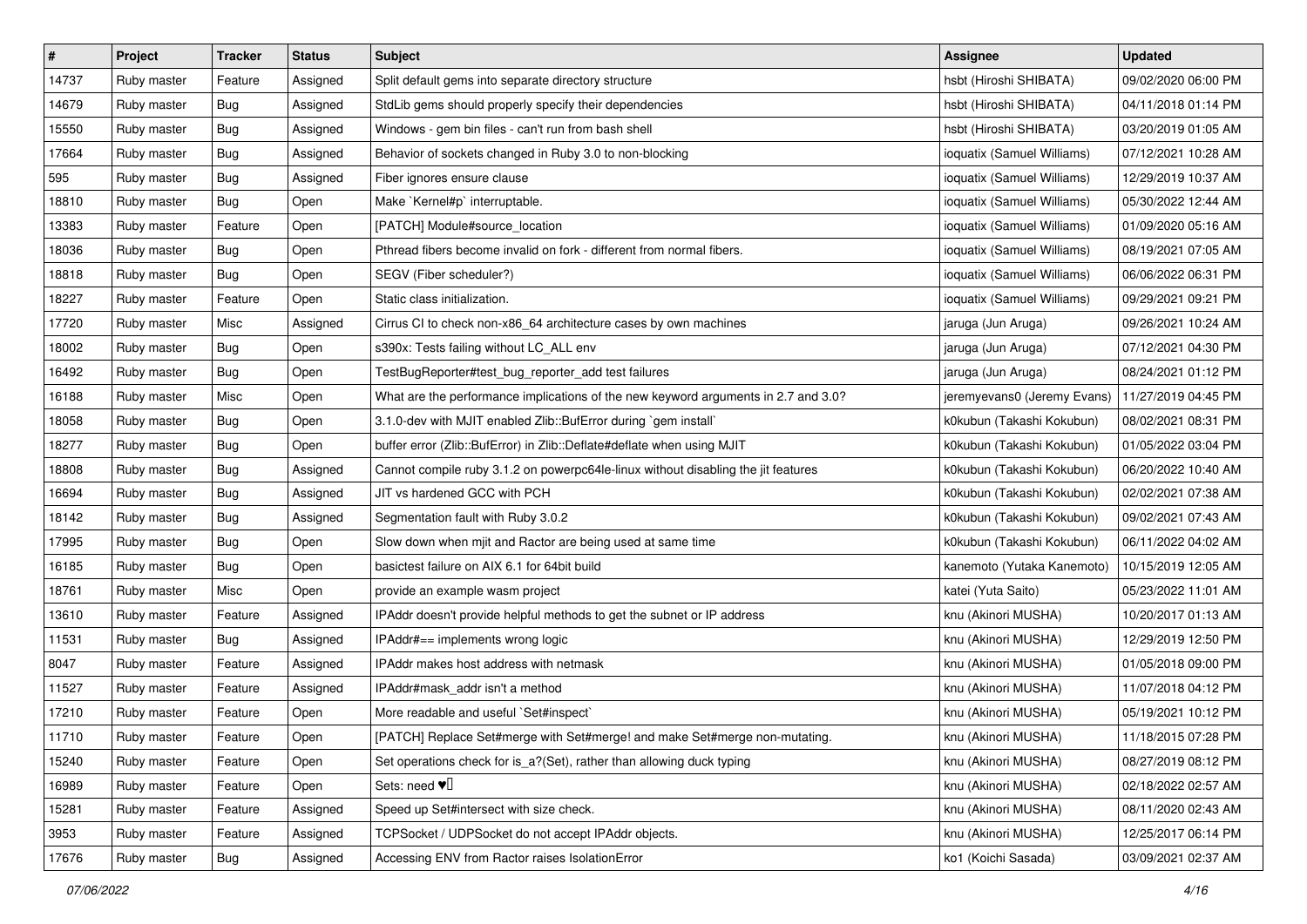| $\pmb{\#}$ | Project     | <b>Tracker</b> | <b>Status</b> | <b>Subject</b>                                                                     | <b>Assignee</b>             | <b>Updated</b>      |
|------------|-------------|----------------|---------------|------------------------------------------------------------------------------------|-----------------------------|---------------------|
| 14737      | Ruby master | Feature        | Assigned      | Split default gems into separate directory structure                               | hsbt (Hiroshi SHIBATA)      | 09/02/2020 06:00 PM |
| 14679      | Ruby master | Bug            | Assigned      | StdLib gems should properly specify their dependencies                             | hsbt (Hiroshi SHIBATA)      | 04/11/2018 01:14 PM |
| 15550      | Ruby master | Bug            | Assigned      | Windows - gem bin files - can't run from bash shell                                | hsbt (Hiroshi SHIBATA)      | 03/20/2019 01:05 AM |
| 17664      | Ruby master | Bug            | Assigned      | Behavior of sockets changed in Ruby 3.0 to non-blocking                            | ioquatix (Samuel Williams)  | 07/12/2021 10:28 AM |
| 595        | Ruby master | Bug            | Assigned      | Fiber ignores ensure clause                                                        | ioquatix (Samuel Williams)  | 12/29/2019 10:37 AM |
| 18810      | Ruby master | Bug            | Open          | Make `Kernel#p` interruptable.                                                     | ioquatix (Samuel Williams)  | 05/30/2022 12:44 AM |
| 13383      | Ruby master | Feature        | Open          | [PATCH] Module#source_location                                                     | ioquatix (Samuel Williams)  | 01/09/2020 05:16 AM |
| 18036      | Ruby master | Bug            | Open          | Pthread fibers become invalid on fork - different from normal fibers.              | ioquatix (Samuel Williams)  | 08/19/2021 07:05 AM |
| 18818      | Ruby master | Bug            | Open          | SEGV (Fiber scheduler?)                                                            | ioquatix (Samuel Williams)  | 06/06/2022 06:31 PM |
| 18227      | Ruby master | Feature        | Open          | Static class initialization.                                                       | ioquatix (Samuel Williams)  | 09/29/2021 09:21 PM |
| 17720      | Ruby master | Misc           | Assigned      | Cirrus CI to check non-x86_64 architecture cases by own machines                   | jaruga (Jun Aruga)          | 09/26/2021 10:24 AM |
| 18002      | Ruby master | Bug            | Open          | s390x: Tests failing without LC_ALL env                                            | jaruga (Jun Aruga)          | 07/12/2021 04:30 PM |
| 16492      | Ruby master | Bug            | Open          | TestBugReporter#test_bug_reporter_add test failures                                | jaruga (Jun Aruga)          | 08/24/2021 01:12 PM |
| 16188      | Ruby master | Misc           | Open          | What are the performance implications of the new keyword arguments in 2.7 and 3.0? | jeremyevans0 (Jeremy Evans) | 11/27/2019 04:45 PM |
| 18058      | Ruby master | Bug            | Open          | 3.1.0-dev with MJIT enabled Zlib::BufError during `gem install`                    | k0kubun (Takashi Kokubun)   | 08/02/2021 08:31 PM |
| 18277      | Ruby master | Bug            | Open          | buffer error (Zlib::BufError) in Zlib::Deflate#deflate when using MJIT             | k0kubun (Takashi Kokubun)   | 01/05/2022 03:04 PM |
| 18808      | Ruby master | Bug            | Assigned      | Cannot compile ruby 3.1.2 on powerpc64le-linux without disabling the jit features  | k0kubun (Takashi Kokubun)   | 06/20/2022 10:40 AM |
| 16694      | Ruby master | Bug            | Assigned      | JIT vs hardened GCC with PCH                                                       | k0kubun (Takashi Kokubun)   | 02/02/2021 07:38 AM |
| 18142      | Ruby master | Bug            | Assigned      | Segmentation fault with Ruby 3.0.2                                                 | k0kubun (Takashi Kokubun)   | 09/02/2021 07:43 AM |
| 17995      | Ruby master | Bug            | Open          | Slow down when mjit and Ractor are being used at same time                         | k0kubun (Takashi Kokubun)   | 06/11/2022 04:02 AM |
| 16185      | Ruby master | Bug            | Open          | basictest failure on AIX 6.1 for 64bit build                                       | kanemoto (Yutaka Kanemoto)  | 10/15/2019 12:05 AM |
| 18761      | Ruby master | Misc           | Open          | provide an example wasm project                                                    | katei (Yuta Saito)          | 05/23/2022 11:01 AM |
| 13610      | Ruby master | Feature        | Assigned      | IPAddr doesn't provide helpful methods to get the subnet or IP address             | knu (Akinori MUSHA)         | 10/20/2017 01:13 AM |
| 11531      | Ruby master | Bug            | Assigned      | IPAddr#== implements wrong logic                                                   | knu (Akinori MUSHA)         | 12/29/2019 12:50 PM |
| 8047       | Ruby master | Feature        | Assigned      | IPAddr makes host address with netmask                                             | knu (Akinori MUSHA)         | 01/05/2018 09:00 PM |
| 11527      | Ruby master | Feature        | Assigned      | IPAddr#mask_addr isn't a method                                                    | knu (Akinori MUSHA)         | 11/07/2018 04:12 PM |
| 17210      | Ruby master | Feature        | Open          | More readable and useful `Set#inspect`                                             | knu (Akinori MUSHA)         | 05/19/2021 10:12 PM |
| 11710      | Ruby master | Feature        | Open          | [PATCH] Replace Set#merge with Set#merge! and make Set#merge non-mutating.         | knu (Akinori MUSHA)         | 11/18/2015 07:28 PM |
| 15240      | Ruby master | Feature        | Open          | Set operations check for is a?(Set), rather than allowing duck typing              | knu (Akinori MUSHA)         | 08/27/2019 08:12 PM |
| 16989      | Ruby master | Feature        | Open          | Sets: need $\Psi$                                                                  | knu (Akinori MUSHA)         | 02/18/2022 02:57 AM |
| 15281      | Ruby master | Feature        | Assigned      | Speed up Set#intersect with size check.                                            | knu (Akinori MUSHA)         | 08/11/2020 02:43 AM |
| 3953       | Ruby master | Feature        | Assigned      | TCPSocket / UDPSocket do not accept IPAddr objects.                                | knu (Akinori MUSHA)         | 12/25/2017 06:14 PM |
| 17676      | Ruby master | <b>Bug</b>     | Assigned      | Accessing ENV from Ractor raises IsolationError                                    | ko1 (Koichi Sasada)         | 03/09/2021 02:37 AM |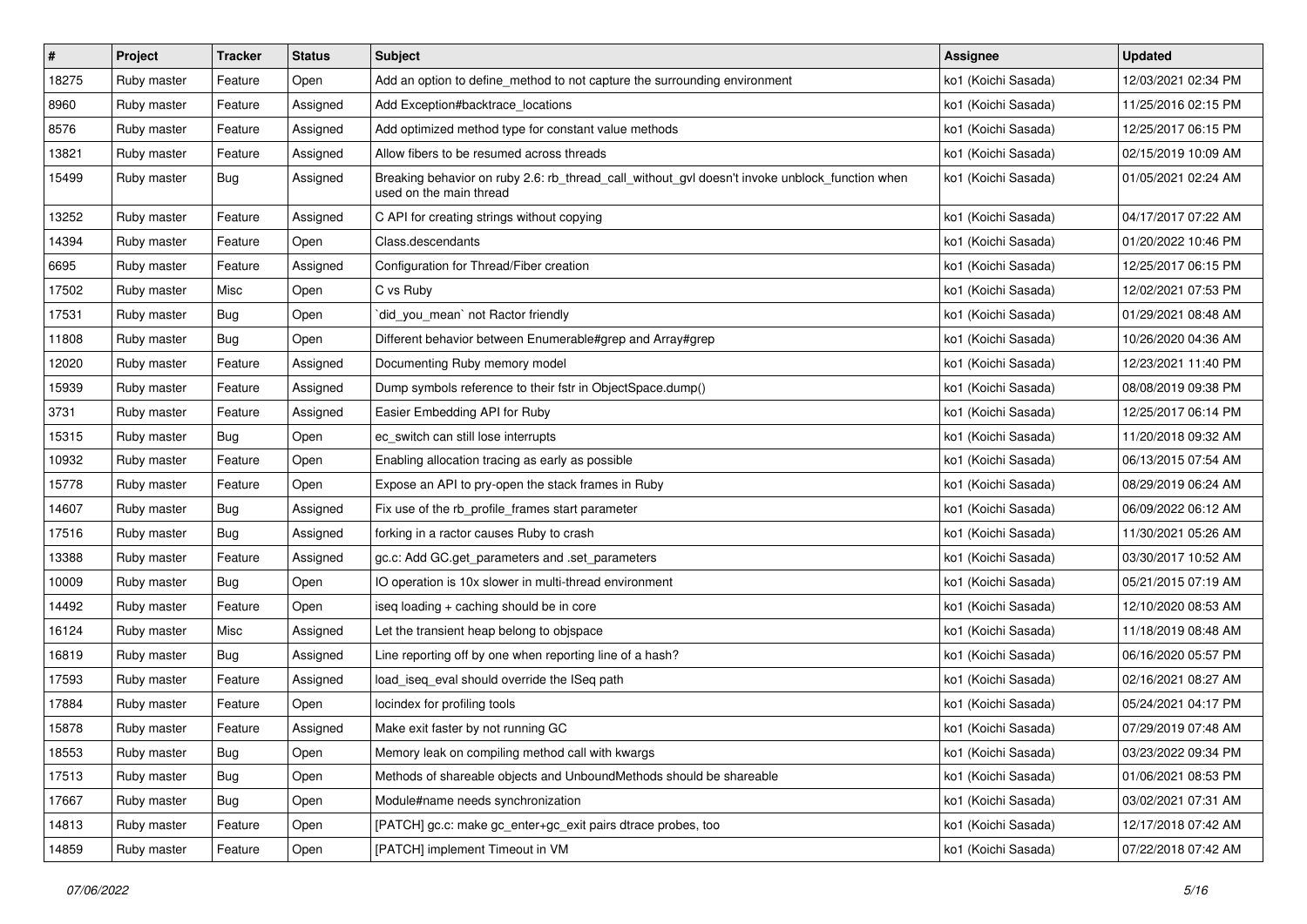| #     | Project     | <b>Tracker</b> | <b>Status</b> | <b>Subject</b>                                                                                                            | <b>Assignee</b>     | <b>Updated</b>      |
|-------|-------------|----------------|---------------|---------------------------------------------------------------------------------------------------------------------------|---------------------|---------------------|
| 18275 | Ruby master | Feature        | Open          | Add an option to define_method to not capture the surrounding environment                                                 | ko1 (Koichi Sasada) | 12/03/2021 02:34 PM |
| 8960  | Ruby master | Feature        | Assigned      | Add Exception#backtrace_locations                                                                                         | ko1 (Koichi Sasada) | 11/25/2016 02:15 PM |
| 8576  | Ruby master | Feature        | Assigned      | Add optimized method type for constant value methods                                                                      | ko1 (Koichi Sasada) | 12/25/2017 06:15 PM |
| 13821 | Ruby master | Feature        | Assigned      | Allow fibers to be resumed across threads                                                                                 | ko1 (Koichi Sasada) | 02/15/2019 10:09 AM |
| 15499 | Ruby master | Bug            | Assigned      | Breaking behavior on ruby 2.6: rb_thread_call_without_gvl doesn't invoke unblock_function when<br>used on the main thread | ko1 (Koichi Sasada) | 01/05/2021 02:24 AM |
| 13252 | Ruby master | Feature        | Assigned      | C API for creating strings without copying                                                                                | ko1 (Koichi Sasada) | 04/17/2017 07:22 AM |
| 14394 | Ruby master | Feature        | Open          | Class.descendants                                                                                                         | ko1 (Koichi Sasada) | 01/20/2022 10:46 PM |
| 6695  | Ruby master | Feature        | Assigned      | Configuration for Thread/Fiber creation                                                                                   | ko1 (Koichi Sasada) | 12/25/2017 06:15 PM |
| 17502 | Ruby master | Misc           | Open          | C vs Ruby                                                                                                                 | ko1 (Koichi Sasada) | 12/02/2021 07:53 PM |
| 17531 | Ruby master | Bug            | Open          | did_you_mean` not Ractor friendly                                                                                         | ko1 (Koichi Sasada) | 01/29/2021 08:48 AM |
| 11808 | Ruby master | Bug            | Open          | Different behavior between Enumerable#grep and Array#grep                                                                 | ko1 (Koichi Sasada) | 10/26/2020 04:36 AM |
| 12020 | Ruby master | Feature        | Assigned      | Documenting Ruby memory model                                                                                             | ko1 (Koichi Sasada) | 12/23/2021 11:40 PM |
| 15939 | Ruby master | Feature        | Assigned      | Dump symbols reference to their fstr in ObjectSpace.dump()                                                                | ko1 (Koichi Sasada) | 08/08/2019 09:38 PM |
| 3731  | Ruby master | Feature        | Assigned      | Easier Embedding API for Ruby                                                                                             | ko1 (Koichi Sasada) | 12/25/2017 06:14 PM |
| 15315 | Ruby master | Bug            | Open          | ec_switch can still lose interrupts                                                                                       | ko1 (Koichi Sasada) | 11/20/2018 09:32 AM |
| 10932 | Ruby master | Feature        | Open          | Enabling allocation tracing as early as possible                                                                          | ko1 (Koichi Sasada) | 06/13/2015 07:54 AM |
| 15778 | Ruby master | Feature        | Open          | Expose an API to pry-open the stack frames in Ruby                                                                        | ko1 (Koichi Sasada) | 08/29/2019 06:24 AM |
| 14607 | Ruby master | Bug            | Assigned      | Fix use of the rb_profile_frames start parameter                                                                          | ko1 (Koichi Sasada) | 06/09/2022 06:12 AM |
| 17516 | Ruby master | Bug            | Assigned      | forking in a ractor causes Ruby to crash                                                                                  | ko1 (Koichi Sasada) | 11/30/2021 05:26 AM |
| 13388 | Ruby master | Feature        | Assigned      | gc.c: Add GC.get_parameters and .set_parameters                                                                           | ko1 (Koichi Sasada) | 03/30/2017 10:52 AM |
| 10009 | Ruby master | <b>Bug</b>     | Open          | IO operation is 10x slower in multi-thread environment                                                                    | ko1 (Koichi Sasada) | 05/21/2015 07:19 AM |
| 14492 | Ruby master | Feature        | Open          | iseq loading + caching should be in core                                                                                  | ko1 (Koichi Sasada) | 12/10/2020 08:53 AM |
| 16124 | Ruby master | Misc           | Assigned      | Let the transient heap belong to objspace                                                                                 | ko1 (Koichi Sasada) | 11/18/2019 08:48 AM |
| 16819 | Ruby master | Bug            | Assigned      | Line reporting off by one when reporting line of a hash?                                                                  | ko1 (Koichi Sasada) | 06/16/2020 05:57 PM |
| 17593 | Ruby master | Feature        | Assigned      | load_iseq_eval should override the ISeq path                                                                              | ko1 (Koichi Sasada) | 02/16/2021 08:27 AM |
| 17884 | Ruby master | Feature        | Open          | locindex for profiling tools                                                                                              | ko1 (Koichi Sasada) | 05/24/2021 04:17 PM |
| 15878 | Ruby master | Feature        | Assigned      | Make exit faster by not running GC                                                                                        | ko1 (Koichi Sasada) | 07/29/2019 07:48 AM |
| 18553 | Ruby master | <b>Bug</b>     | Open          | Memory leak on compiling method call with kwargs                                                                          | ko1 (Koichi Sasada) | 03/23/2022 09:34 PM |
| 17513 | Ruby master | Bug            | Open          | Methods of shareable objects and UnboundMethods should be shareable                                                       | ko1 (Koichi Sasada) | 01/06/2021 08:53 PM |
| 17667 | Ruby master | <b>Bug</b>     | Open          | Module#name needs synchronization                                                                                         | ko1 (Koichi Sasada) | 03/02/2021 07:31 AM |
| 14813 | Ruby master | Feature        | Open          | [PATCH] gc.c: make gc_enter+gc_exit pairs dtrace probes, too                                                              | ko1 (Koichi Sasada) | 12/17/2018 07:42 AM |
| 14859 | Ruby master | Feature        | Open          | [PATCH] implement Timeout in VM                                                                                           | ko1 (Koichi Sasada) | 07/22/2018 07:42 AM |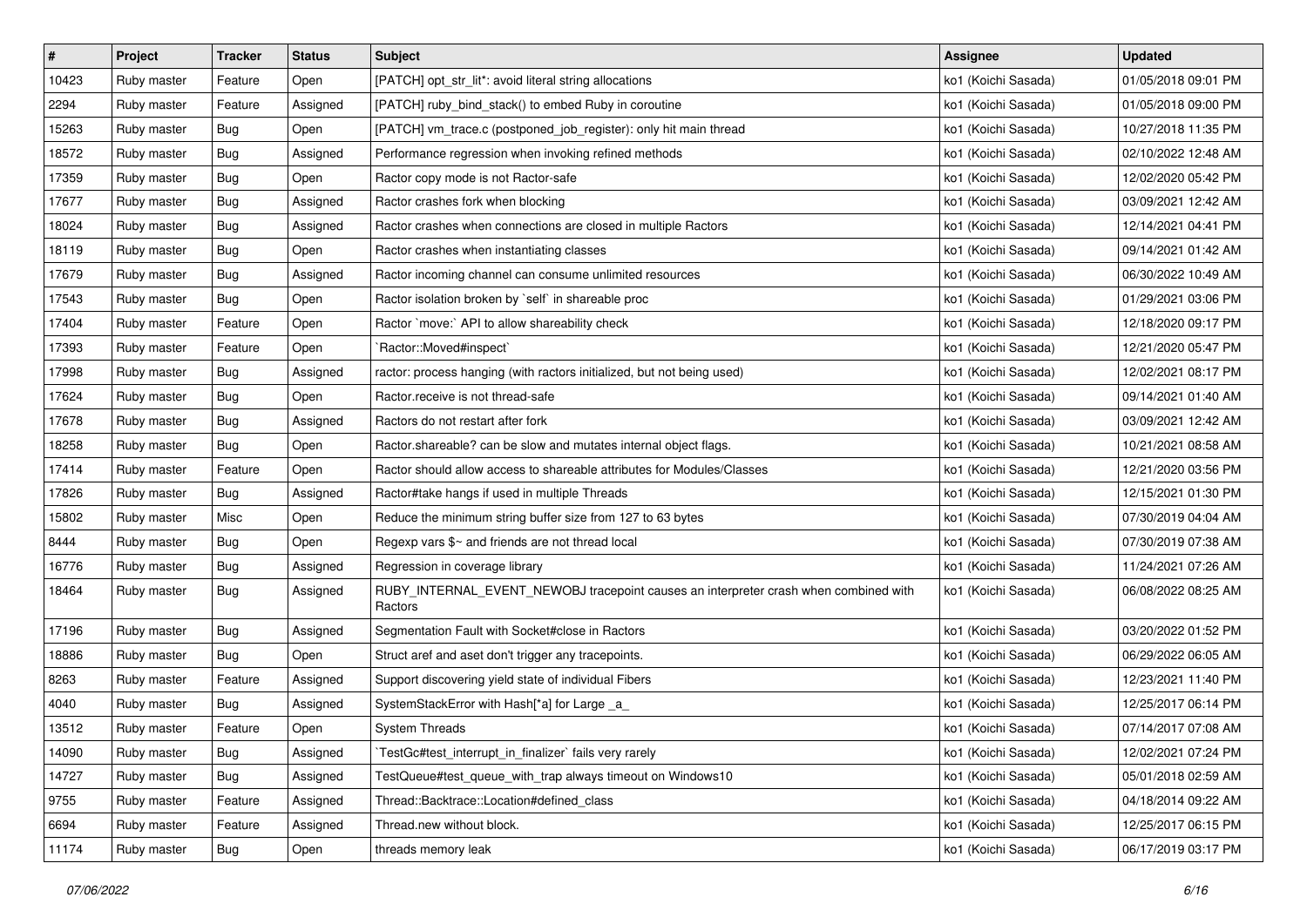| $\sharp$ | Project     | <b>Tracker</b> | <b>Status</b> | <b>Subject</b>                                                                                  | Assignee            | <b>Updated</b>      |
|----------|-------------|----------------|---------------|-------------------------------------------------------------------------------------------------|---------------------|---------------------|
| 10423    | Ruby master | Feature        | Open          | [PATCH] opt_str_lit*: avoid literal string allocations                                          | ko1 (Koichi Sasada) | 01/05/2018 09:01 PM |
| 2294     | Ruby master | Feature        | Assigned      | [PATCH] ruby_bind_stack() to embed Ruby in coroutine                                            | ko1 (Koichi Sasada) | 01/05/2018 09:00 PM |
| 15263    | Ruby master | Bug            | Open          | [PATCH] vm_trace.c (postponed_job_register): only hit main thread                               | ko1 (Koichi Sasada) | 10/27/2018 11:35 PM |
| 18572    | Ruby master | Bug            | Assigned      | Performance regression when invoking refined methods                                            | ko1 (Koichi Sasada) | 02/10/2022 12:48 AM |
| 17359    | Ruby master | <b>Bug</b>     | Open          | Ractor copy mode is not Ractor-safe                                                             | ko1 (Koichi Sasada) | 12/02/2020 05:42 PM |
| 17677    | Ruby master | Bug            | Assigned      | Ractor crashes fork when blocking                                                               | ko1 (Koichi Sasada) | 03/09/2021 12:42 AM |
| 18024    | Ruby master | Bug            | Assigned      | Ractor crashes when connections are closed in multiple Ractors                                  | ko1 (Koichi Sasada) | 12/14/2021 04:41 PM |
| 18119    | Ruby master | Bug            | Open          | Ractor crashes when instantiating classes                                                       | ko1 (Koichi Sasada) | 09/14/2021 01:42 AM |
| 17679    | Ruby master | Bug            | Assigned      | Ractor incoming channel can consume unlimited resources                                         | ko1 (Koichi Sasada) | 06/30/2022 10:49 AM |
| 17543    | Ruby master | <b>Bug</b>     | Open          | Ractor isolation broken by `self` in shareable proc                                             | ko1 (Koichi Sasada) | 01/29/2021 03:06 PM |
| 17404    | Ruby master | Feature        | Open          | Ractor `move:` API to allow shareability check                                                  | ko1 (Koichi Sasada) | 12/18/2020 09:17 PM |
| 17393    | Ruby master | Feature        | Open          | `Ractor::Moved#inspect`                                                                         | ko1 (Koichi Sasada) | 12/21/2020 05:47 PM |
| 17998    | Ruby master | Bug            | Assigned      | ractor: process hanging (with ractors initialized, but not being used)                          | ko1 (Koichi Sasada) | 12/02/2021 08:17 PM |
| 17624    | Ruby master | Bug            | Open          | Ractor.receive is not thread-safe                                                               | ko1 (Koichi Sasada) | 09/14/2021 01:40 AM |
| 17678    | Ruby master | Bug            | Assigned      | Ractors do not restart after fork                                                               | ko1 (Koichi Sasada) | 03/09/2021 12:42 AM |
| 18258    | Ruby master | Bug            | Open          | Ractor shareable? can be slow and mutates internal object flags.                                | ko1 (Koichi Sasada) | 10/21/2021 08:58 AM |
| 17414    | Ruby master | Feature        | Open          | Ractor should allow access to shareable attributes for Modules/Classes                          | ko1 (Koichi Sasada) | 12/21/2020 03:56 PM |
| 17826    | Ruby master | Bug            | Assigned      | Ractor#take hangs if used in multiple Threads                                                   | ko1 (Koichi Sasada) | 12/15/2021 01:30 PM |
| 15802    | Ruby master | Misc           | Open          | Reduce the minimum string buffer size from 127 to 63 bytes                                      | ko1 (Koichi Sasada) | 07/30/2019 04:04 AM |
| 8444     | Ruby master | Bug            | Open          | Regexp vars \$~ and friends are not thread local                                                | ko1 (Koichi Sasada) | 07/30/2019 07:38 AM |
| 16776    | Ruby master | <b>Bug</b>     | Assigned      | Regression in coverage library                                                                  | ko1 (Koichi Sasada) | 11/24/2021 07:26 AM |
| 18464    | Ruby master | Bug            | Assigned      | RUBY_INTERNAL_EVENT_NEWOBJ tracepoint causes an interpreter crash when combined with<br>Ractors | ko1 (Koichi Sasada) | 06/08/2022 08:25 AM |
| 17196    | Ruby master | <b>Bug</b>     | Assigned      | Segmentation Fault with Socket#close in Ractors                                                 | ko1 (Koichi Sasada) | 03/20/2022 01:52 PM |
| 18886    | Ruby master | <b>Bug</b>     | Open          | Struct aref and aset don't trigger any tracepoints.                                             | ko1 (Koichi Sasada) | 06/29/2022 06:05 AM |
| 8263     | Ruby master | Feature        | Assigned      | Support discovering yield state of individual Fibers                                            | ko1 (Koichi Sasada) | 12/23/2021 11:40 PM |
| 4040     | Ruby master | Bug            | Assigned      | SystemStackError with Hash[*a] for Large _a_                                                    | ko1 (Koichi Sasada) | 12/25/2017 06:14 PM |
| 13512    | Ruby master | Feature        | Open          | <b>System Threads</b>                                                                           | ko1 (Koichi Sasada) | 07/14/2017 07:08 AM |
| 14090    | Ruby master | Bug            | Assigned      | TestGc#test_interrupt_in_finalizer`fails very rarely                                            | ko1 (Koichi Sasada) | 12/02/2021 07:24 PM |
| 14727    | Ruby master | Bug            | Assigned      | TestQueue#test_queue_with_trap always timeout on Windows10                                      | ko1 (Koichi Sasada) | 05/01/2018 02:59 AM |
| 9755     | Ruby master | Feature        | Assigned      | Thread::Backtrace::Location#defined_class                                                       | ko1 (Koichi Sasada) | 04/18/2014 09:22 AM |
| 6694     | Ruby master | Feature        | Assigned      | Thread.new without block.                                                                       | ko1 (Koichi Sasada) | 12/25/2017 06:15 PM |
| 11174    | Ruby master | <b>Bug</b>     | Open          | threads memory leak                                                                             | ko1 (Koichi Sasada) | 06/17/2019 03:17 PM |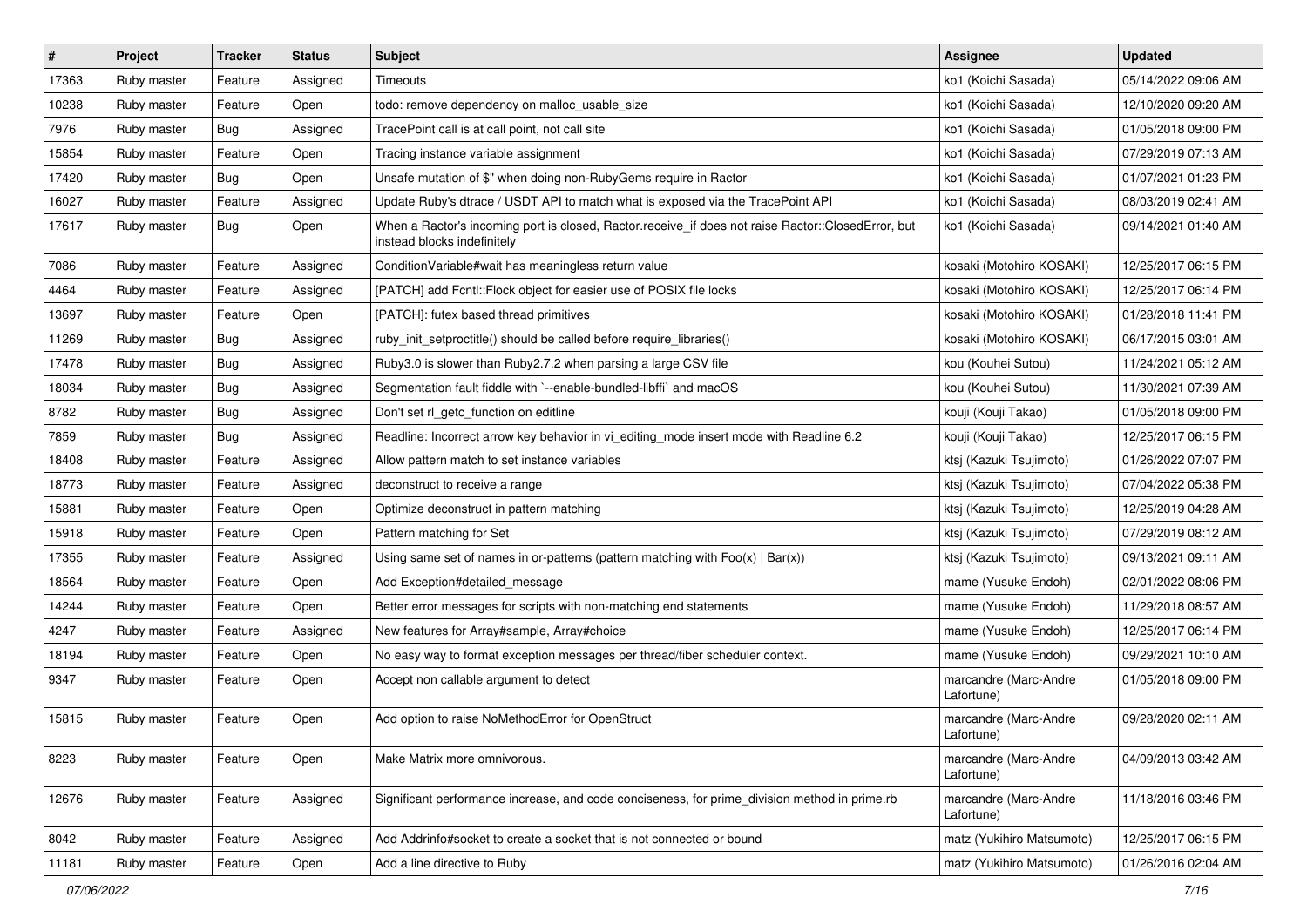| $\vert$ # | Project     | <b>Tracker</b> | <b>Status</b> | <b>Subject</b>                                                                                                                    | Assignee                            | <b>Updated</b>      |
|-----------|-------------|----------------|---------------|-----------------------------------------------------------------------------------------------------------------------------------|-------------------------------------|---------------------|
| 17363     | Ruby master | Feature        | Assigned      | Timeouts                                                                                                                          | ko1 (Koichi Sasada)                 | 05/14/2022 09:06 AM |
| 10238     | Ruby master | Feature        | Open          | todo: remove dependency on malloc_usable_size                                                                                     | ko1 (Koichi Sasada)                 | 12/10/2020 09:20 AM |
| 7976      | Ruby master | Bug            | Assigned      | TracePoint call is at call point, not call site                                                                                   | ko1 (Koichi Sasada)                 | 01/05/2018 09:00 PM |
| 15854     | Ruby master | Feature        | Open          | Tracing instance variable assignment                                                                                              | ko1 (Koichi Sasada)                 | 07/29/2019 07:13 AM |
| 17420     | Ruby master | Bug            | Open          | Unsafe mutation of \$" when doing non-RubyGems require in Ractor                                                                  | ko1 (Koichi Sasada)                 | 01/07/2021 01:23 PM |
| 16027     | Ruby master | Feature        | Assigned      | Update Ruby's dtrace / USDT API to match what is exposed via the TracePoint API                                                   | ko1 (Koichi Sasada)                 | 08/03/2019 02:41 AM |
| 17617     | Ruby master | Bug            | Open          | When a Ractor's incoming port is closed, Ractor.receive_if does not raise Ractor::ClosedError, but<br>instead blocks indefinitely | ko1 (Koichi Sasada)                 | 09/14/2021 01:40 AM |
| 7086      | Ruby master | Feature        | Assigned      | ConditionVariable#wait has meaningless return value                                                                               | kosaki (Motohiro KOSAKI)            | 12/25/2017 06:15 PM |
| 4464      | Ruby master | Feature        | Assigned      | [PATCH] add Fcntl:: Flock object for easier use of POSIX file locks                                                               | kosaki (Motohiro KOSAKI)            | 12/25/2017 06:14 PM |
| 13697     | Ruby master | Feature        | Open          | [PATCH]: futex based thread primitives                                                                                            | kosaki (Motohiro KOSAKI)            | 01/28/2018 11:41 PM |
| 11269     | Ruby master | Bug            | Assigned      | ruby_init_setproctitle() should be called before require_libraries()                                                              | kosaki (Motohiro KOSAKI)            | 06/17/2015 03:01 AM |
| 17478     | Ruby master | Bug            | Assigned      | Ruby3.0 is slower than Ruby2.7.2 when parsing a large CSV file                                                                    | kou (Kouhei Sutou)                  | 11/24/2021 05:12 AM |
| 18034     | Ruby master | Bug            | Assigned      | Segmentation fault fiddle with `--enable-bundled-libffi` and macOS                                                                | kou (Kouhei Sutou)                  | 11/30/2021 07:39 AM |
| 8782      | Ruby master | Bug            | Assigned      | Don't set rl_getc_function on editline                                                                                            | kouji (Kouji Takao)                 | 01/05/2018 09:00 PM |
| 7859      | Ruby master | Bug            | Assigned      | Readline: Incorrect arrow key behavior in vi editing mode insert mode with Readline 6.2                                           | kouji (Kouji Takao)                 | 12/25/2017 06:15 PM |
| 18408     | Ruby master | Feature        | Assigned      | Allow pattern match to set instance variables                                                                                     | ktsj (Kazuki Tsujimoto)             | 01/26/2022 07:07 PM |
| 18773     | Ruby master | Feature        | Assigned      | deconstruct to receive a range                                                                                                    | ktsj (Kazuki Tsujimoto)             | 07/04/2022 05:38 PM |
| 15881     | Ruby master | Feature        | Open          | Optimize deconstruct in pattern matching                                                                                          | ktsj (Kazuki Tsujimoto)             | 12/25/2019 04:28 AM |
| 15918     | Ruby master | Feature        | Open          | Pattern matching for Set                                                                                                          | ktsj (Kazuki Tsujimoto)             | 07/29/2019 08:12 AM |
| 17355     | Ruby master | Feature        | Assigned      | Using same set of names in or-patterns (pattern matching with $Foo(x)   Bar(x))$                                                  | ktsj (Kazuki Tsujimoto)             | 09/13/2021 09:11 AM |
| 18564     | Ruby master | Feature        | Open          | Add Exception#detailed_message                                                                                                    | mame (Yusuke Endoh)                 | 02/01/2022 08:06 PM |
| 14244     | Ruby master | Feature        | Open          | Better error messages for scripts with non-matching end statements                                                                | mame (Yusuke Endoh)                 | 11/29/2018 08:57 AM |
| 4247      | Ruby master | Feature        | Assigned      | New features for Array#sample, Array#choice                                                                                       | mame (Yusuke Endoh)                 | 12/25/2017 06:14 PM |
| 18194     | Ruby master | Feature        | Open          | No easy way to format exception messages per thread/fiber scheduler context.                                                      | mame (Yusuke Endoh)                 | 09/29/2021 10:10 AM |
| 9347      | Ruby master | Feature        | Open          | Accept non callable argument to detect                                                                                            | marcandre (Marc-Andre<br>Lafortune) | 01/05/2018 09:00 PM |
| 15815     | Ruby master | Feature        | Open          | Add option to raise NoMethodError for OpenStruct                                                                                  | marcandre (Marc-Andre<br>Lafortune) | 09/28/2020 02:11 AM |
| 8223      | Ruby master | Feature        | Open          | Make Matrix more omnivorous.                                                                                                      | marcandre (Marc-Andre<br>Lafortune) | 04/09/2013 03:42 AM |
| 12676     | Ruby master | Feature        | Assigned      | Significant performance increase, and code conciseness, for prime_division method in prime.rb                                     | marcandre (Marc-Andre<br>Lafortune) | 11/18/2016 03:46 PM |
| 8042      | Ruby master | Feature        | Assigned      | Add Addrinfo#socket to create a socket that is not connected or bound                                                             | matz (Yukihiro Matsumoto)           | 12/25/2017 06:15 PM |
| 11181     | Ruby master | Feature        | Open          | Add a line directive to Ruby                                                                                                      | matz (Yukihiro Matsumoto)           | 01/26/2016 02:04 AM |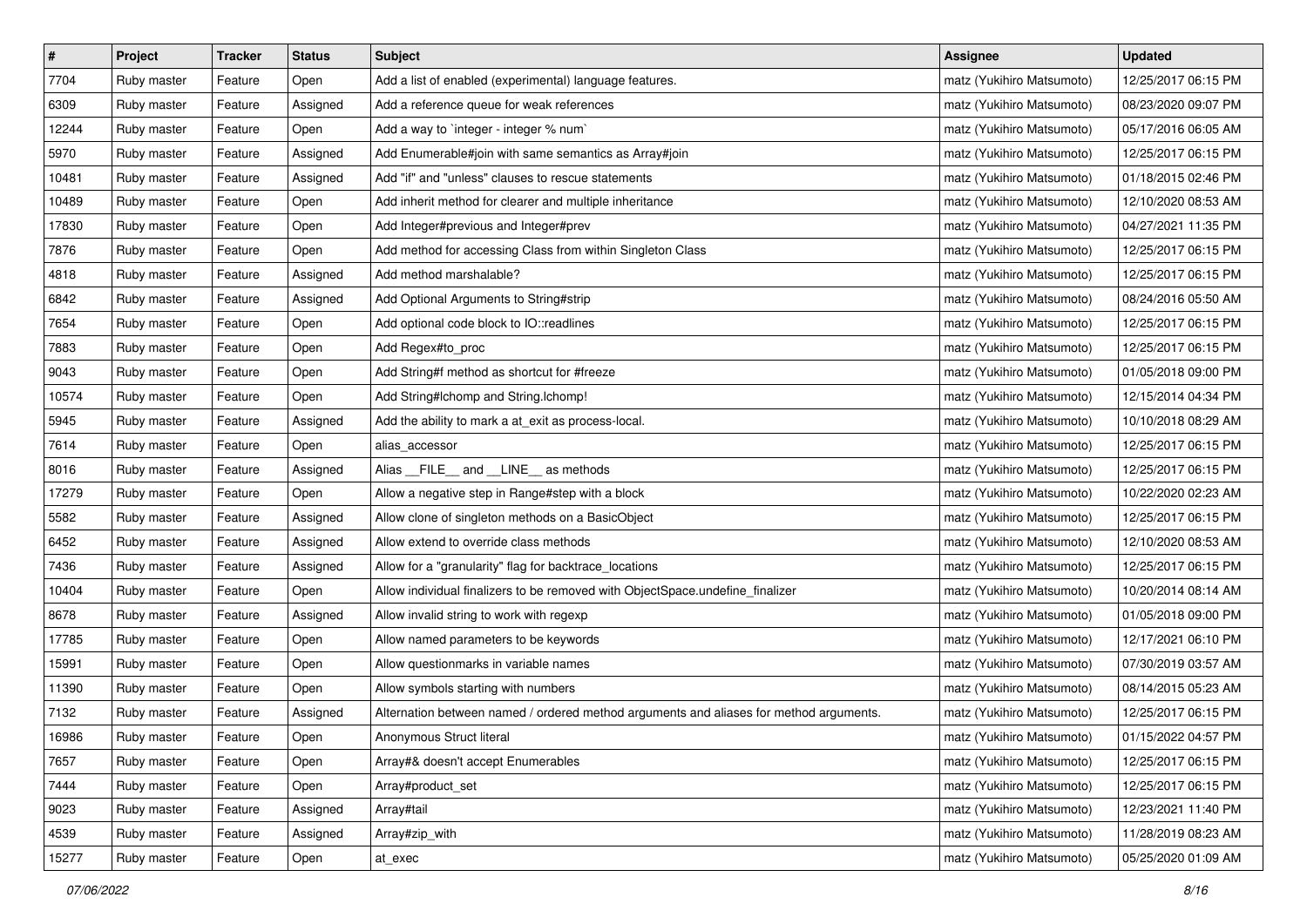| $\pmb{\#}$ | Project     | <b>Tracker</b> | <b>Status</b> | <b>Subject</b>                                                                         | <b>Assignee</b>           | <b>Updated</b>      |
|------------|-------------|----------------|---------------|----------------------------------------------------------------------------------------|---------------------------|---------------------|
| 7704       | Ruby master | Feature        | Open          | Add a list of enabled (experimental) language features.                                | matz (Yukihiro Matsumoto) | 12/25/2017 06:15 PM |
| 6309       | Ruby master | Feature        | Assigned      | Add a reference queue for weak references                                              | matz (Yukihiro Matsumoto) | 08/23/2020 09:07 PM |
| 12244      | Ruby master | Feature        | Open          | Add a way to 'integer - integer % num'                                                 | matz (Yukihiro Matsumoto) | 05/17/2016 06:05 AM |
| 5970       | Ruby master | Feature        | Assigned      | Add Enumerable#join with same semantics as Array#join                                  | matz (Yukihiro Matsumoto) | 12/25/2017 06:15 PM |
| 10481      | Ruby master | Feature        | Assigned      | Add "if" and "unless" clauses to rescue statements                                     | matz (Yukihiro Matsumoto) | 01/18/2015 02:46 PM |
| 10489      | Ruby master | Feature        | Open          | Add inherit method for clearer and multiple inheritance                                | matz (Yukihiro Matsumoto) | 12/10/2020 08:53 AM |
| 17830      | Ruby master | Feature        | Open          | Add Integer#previous and Integer#prev                                                  | matz (Yukihiro Matsumoto) | 04/27/2021 11:35 PM |
| 7876       | Ruby master | Feature        | Open          | Add method for accessing Class from within Singleton Class                             | matz (Yukihiro Matsumoto) | 12/25/2017 06:15 PM |
| 4818       | Ruby master | Feature        | Assigned      | Add method marshalable?                                                                | matz (Yukihiro Matsumoto) | 12/25/2017 06:15 PM |
| 6842       | Ruby master | Feature        | Assigned      | Add Optional Arguments to String#strip                                                 | matz (Yukihiro Matsumoto) | 08/24/2016 05:50 AM |
| 7654       | Ruby master | Feature        | Open          | Add optional code block to IO::readlines                                               | matz (Yukihiro Matsumoto) | 12/25/2017 06:15 PM |
| 7883       | Ruby master | Feature        | Open          | Add Regex#to_proc                                                                      | matz (Yukihiro Matsumoto) | 12/25/2017 06:15 PM |
| 9043       | Ruby master | Feature        | Open          | Add String#f method as shortcut for #freeze                                            | matz (Yukihiro Matsumoto) | 01/05/2018 09:00 PM |
| 10574      | Ruby master | Feature        | Open          | Add String#Ichomp and String.Ichomp!                                                   | matz (Yukihiro Matsumoto) | 12/15/2014 04:34 PM |
| 5945       | Ruby master | Feature        | Assigned      | Add the ability to mark a at_exit as process-local.                                    | matz (Yukihiro Matsumoto) | 10/10/2018 08:29 AM |
| 7614       | Ruby master | Feature        | Open          | alias_accessor                                                                         | matz (Yukihiro Matsumoto) | 12/25/2017 06:15 PM |
| 8016       | Ruby master | Feature        | Assigned      | Alias FILE and LINE as methods                                                         | matz (Yukihiro Matsumoto) | 12/25/2017 06:15 PM |
| 17279      | Ruby master | Feature        | Open          | Allow a negative step in Range#step with a block                                       | matz (Yukihiro Matsumoto) | 10/22/2020 02:23 AM |
| 5582       | Ruby master | Feature        | Assigned      | Allow clone of singleton methods on a BasicObject                                      | matz (Yukihiro Matsumoto) | 12/25/2017 06:15 PM |
| 6452       | Ruby master | Feature        | Assigned      | Allow extend to override class methods                                                 | matz (Yukihiro Matsumoto) | 12/10/2020 08:53 AM |
| 7436       | Ruby master | Feature        | Assigned      | Allow for a "granularity" flag for backtrace_locations                                 | matz (Yukihiro Matsumoto) | 12/25/2017 06:15 PM |
| 10404      | Ruby master | Feature        | Open          | Allow individual finalizers to be removed with ObjectSpace.undefine_finalizer          | matz (Yukihiro Matsumoto) | 10/20/2014 08:14 AM |
| 8678       | Ruby master | Feature        | Assigned      | Allow invalid string to work with regexp                                               | matz (Yukihiro Matsumoto) | 01/05/2018 09:00 PM |
| 17785      | Ruby master | Feature        | Open          | Allow named parameters to be keywords                                                  | matz (Yukihiro Matsumoto) | 12/17/2021 06:10 PM |
| 15991      | Ruby master | Feature        | Open          | Allow questionmarks in variable names                                                  | matz (Yukihiro Matsumoto) | 07/30/2019 03:57 AM |
| 11390      | Ruby master | Feature        | Open          | Allow symbols starting with numbers                                                    | matz (Yukihiro Matsumoto) | 08/14/2015 05:23 AM |
| 7132       | Ruby master | Feature        | Assigned      | Alternation between named / ordered method arguments and aliases for method arguments. | matz (Yukihiro Matsumoto) | 12/25/2017 06:15 PM |
| 16986      | Ruby master | Feature        | Open          | Anonymous Struct literal                                                               | matz (Yukihiro Matsumoto) | 01/15/2022 04:57 PM |
| 7657       | Ruby master | Feature        | Open          | Array#& doesn't accept Enumerables                                                     | matz (Yukihiro Matsumoto) | 12/25/2017 06:15 PM |
| 7444       | Ruby master | Feature        | Open          | Array#product_set                                                                      | matz (Yukihiro Matsumoto) | 12/25/2017 06:15 PM |
| 9023       | Ruby master | Feature        | Assigned      | Array#tail                                                                             | matz (Yukihiro Matsumoto) | 12/23/2021 11:40 PM |
| 4539       | Ruby master | Feature        | Assigned      | Array#zip_with                                                                         | matz (Yukihiro Matsumoto) | 11/28/2019 08:23 AM |
| 15277      | Ruby master | Feature        | Open          | at_exec                                                                                | matz (Yukihiro Matsumoto) | 05/25/2020 01:09 AM |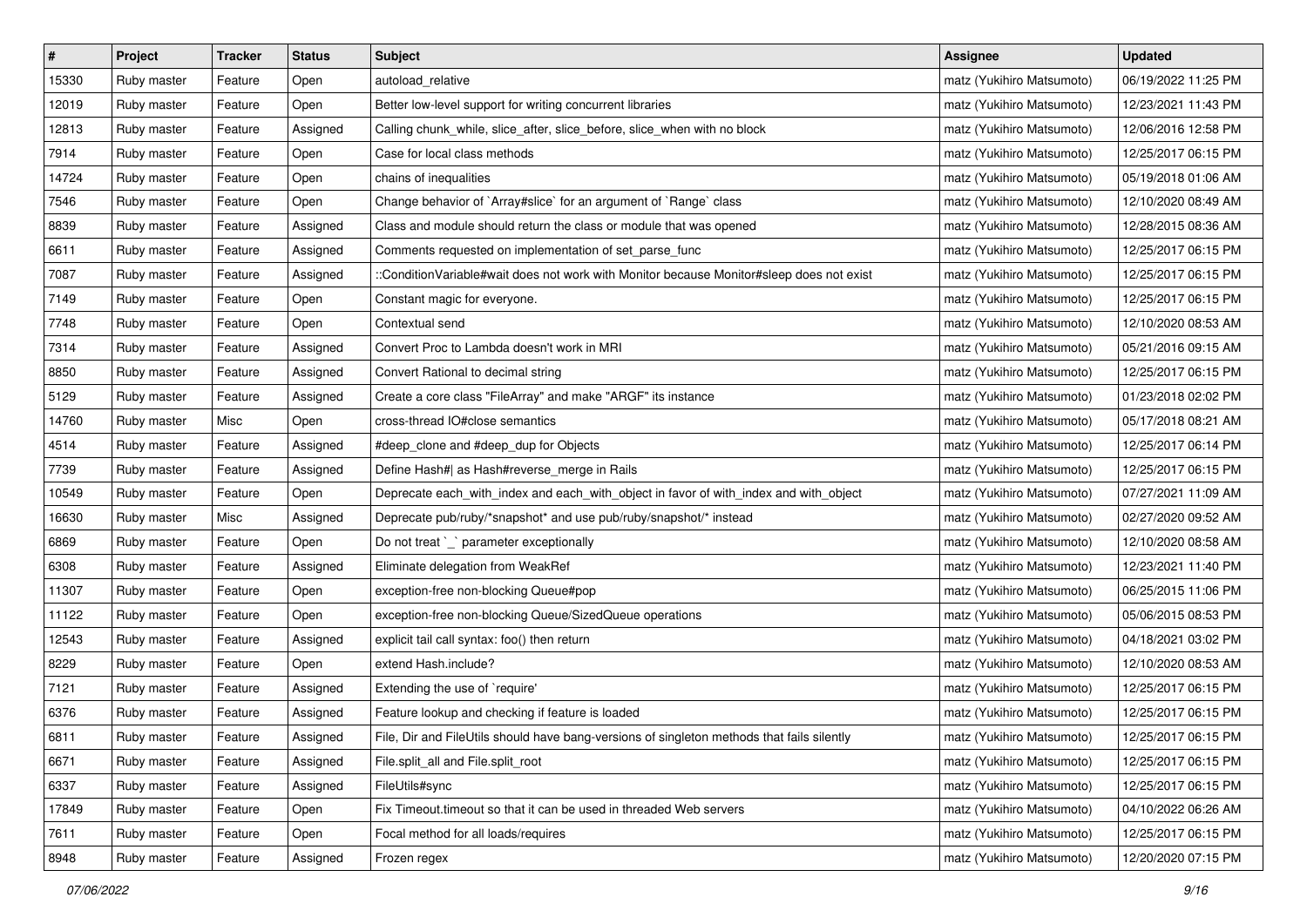| $\sharp$ | Project     | Tracker | <b>Status</b> | <b>Subject</b>                                                                             | Assignee                  | <b>Updated</b>      |
|----------|-------------|---------|---------------|--------------------------------------------------------------------------------------------|---------------------------|---------------------|
| 15330    | Ruby master | Feature | Open          | autoload relative                                                                          | matz (Yukihiro Matsumoto) | 06/19/2022 11:25 PM |
| 12019    | Ruby master | Feature | Open          | Better low-level support for writing concurrent libraries                                  | matz (Yukihiro Matsumoto) | 12/23/2021 11:43 PM |
| 12813    | Ruby master | Feature | Assigned      | Calling chunk_while, slice_after, slice_before, slice_when with no block                   | matz (Yukihiro Matsumoto) | 12/06/2016 12:58 PM |
| 7914     | Ruby master | Feature | Open          | Case for local class methods                                                               | matz (Yukihiro Matsumoto) | 12/25/2017 06:15 PM |
| 14724    | Ruby master | Feature | Open          | chains of inequalities                                                                     | matz (Yukihiro Matsumoto) | 05/19/2018 01:06 AM |
| 7546     | Ruby master | Feature | Open          | Change behavior of `Array#slice` for an argument of `Range` class                          | matz (Yukihiro Matsumoto) | 12/10/2020 08:49 AM |
| 8839     | Ruby master | Feature | Assigned      | Class and module should return the class or module that was opened                         | matz (Yukihiro Matsumoto) | 12/28/2015 08:36 AM |
| 6611     | Ruby master | Feature | Assigned      | Comments requested on implementation of set_parse_func                                     | matz (Yukihiro Matsumoto) | 12/25/2017 06:15 PM |
| 7087     | Ruby master | Feature | Assigned      | ::ConditionVariable#wait does not work with Monitor because Monitor#sleep does not exist   | matz (Yukihiro Matsumoto) | 12/25/2017 06:15 PM |
| 7149     | Ruby master | Feature | Open          | Constant magic for everyone.                                                               | matz (Yukihiro Matsumoto) | 12/25/2017 06:15 PM |
| 7748     | Ruby master | Feature | Open          | Contextual send                                                                            | matz (Yukihiro Matsumoto) | 12/10/2020 08:53 AM |
| 7314     | Ruby master | Feature | Assigned      | Convert Proc to Lambda doesn't work in MRI                                                 | matz (Yukihiro Matsumoto) | 05/21/2016 09:15 AM |
| 8850     | Ruby master | Feature | Assigned      | Convert Rational to decimal string                                                         | matz (Yukihiro Matsumoto) | 12/25/2017 06:15 PM |
| 5129     | Ruby master | Feature | Assigned      | Create a core class "FileArray" and make "ARGF" its instance                               | matz (Yukihiro Matsumoto) | 01/23/2018 02:02 PM |
| 14760    | Ruby master | Misc    | Open          | cross-thread IO#close semantics                                                            | matz (Yukihiro Matsumoto) | 05/17/2018 08:21 AM |
| 4514     | Ruby master | Feature | Assigned      | #deep_clone and #deep_dup for Objects                                                      | matz (Yukihiro Matsumoto) | 12/25/2017 06:14 PM |
| 7739     | Ruby master | Feature | Assigned      | Define Hash#  as Hash#reverse_merge in Rails                                               | matz (Yukihiro Matsumoto) | 12/25/2017 06:15 PM |
| 10549    | Ruby master | Feature | Open          | Deprecate each_with_index and each_with_object in favor of with_index and with_object      | matz (Yukihiro Matsumoto) | 07/27/2021 11:09 AM |
| 16630    | Ruby master | Misc    | Assigned      | Deprecate pub/ruby/*snapshot* and use pub/ruby/snapshot/* instead                          | matz (Yukihiro Matsumoto) | 02/27/2020 09:52 AM |
| 6869     | Ruby master | Feature | Open          | Do not treat `_` parameter exceptionally                                                   | matz (Yukihiro Matsumoto) | 12/10/2020 08:58 AM |
| 6308     | Ruby master | Feature | Assigned      | Eliminate delegation from WeakRef                                                          | matz (Yukihiro Matsumoto) | 12/23/2021 11:40 PM |
| 11307    | Ruby master | Feature | Open          | exception-free non-blocking Queue#pop                                                      | matz (Yukihiro Matsumoto) | 06/25/2015 11:06 PM |
| 11122    | Ruby master | Feature | Open          | exception-free non-blocking Queue/SizedQueue operations                                    | matz (Yukihiro Matsumoto) | 05/06/2015 08:53 PM |
| 12543    | Ruby master | Feature | Assigned      | explicit tail call syntax: foo() then return                                               | matz (Yukihiro Matsumoto) | 04/18/2021 03:02 PM |
| 8229     | Ruby master | Feature | Open          | extend Hash.include?                                                                       | matz (Yukihiro Matsumoto) | 12/10/2020 08:53 AM |
| 7121     | Ruby master | Feature | Assigned      | Extending the use of `require'                                                             | matz (Yukihiro Matsumoto) | 12/25/2017 06:15 PM |
| 6376     | Ruby master | Feature | Assigned      | Feature lookup and checking if feature is loaded                                           | matz (Yukihiro Matsumoto) | 12/25/2017 06:15 PM |
| 6811     | Ruby master | Feature | Assigned      | File, Dir and FileUtils should have bang-versions of singleton methods that fails silently | matz (Yukihiro Matsumoto) | 12/25/2017 06:15 PM |
| 6671     | Ruby master | Feature | Assigned      | File.split_all and File.split_root                                                         | matz (Yukihiro Matsumoto) | 12/25/2017 06:15 PM |
| 6337     | Ruby master | Feature | Assigned      | FileUtils#sync                                                                             | matz (Yukihiro Matsumoto) | 12/25/2017 06:15 PM |
| 17849    | Ruby master | Feature | Open          | Fix Timeout timeout so that it can be used in threaded Web servers                         | matz (Yukihiro Matsumoto) | 04/10/2022 06:26 AM |
| 7611     | Ruby master | Feature | Open          | Focal method for all loads/requires                                                        | matz (Yukihiro Matsumoto) | 12/25/2017 06:15 PM |
| 8948     | Ruby master | Feature | Assigned      | Frozen regex                                                                               | matz (Yukihiro Matsumoto) | 12/20/2020 07:15 PM |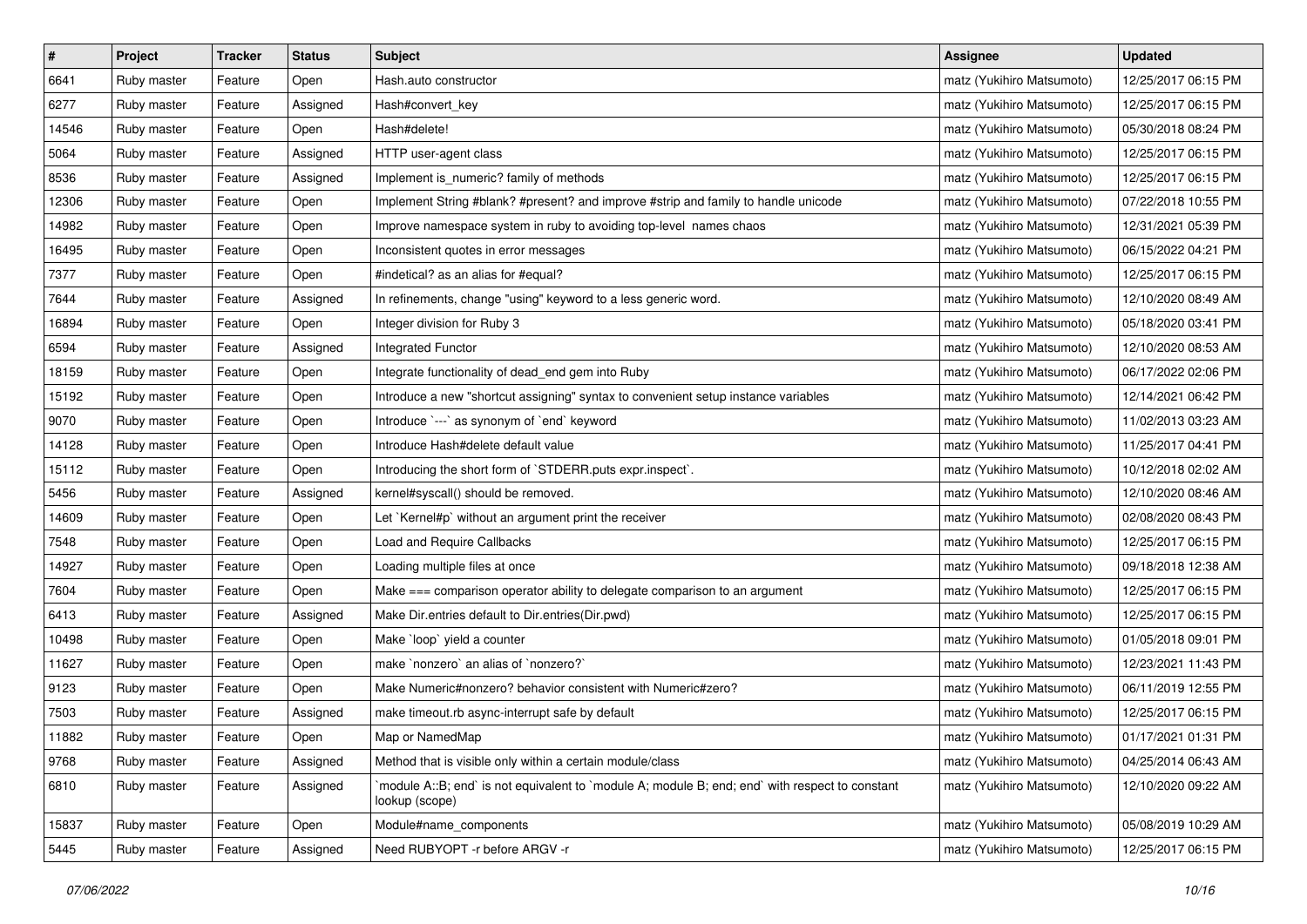| $\sharp$ | Project     | Tracker | <b>Status</b> | <b>Subject</b>                                                                                                   | Assignee                  | <b>Updated</b>      |
|----------|-------------|---------|---------------|------------------------------------------------------------------------------------------------------------------|---------------------------|---------------------|
| 6641     | Ruby master | Feature | Open          | Hash.auto constructor                                                                                            | matz (Yukihiro Matsumoto) | 12/25/2017 06:15 PM |
| 6277     | Ruby master | Feature | Assigned      | Hash#convert_key                                                                                                 | matz (Yukihiro Matsumoto) | 12/25/2017 06:15 PM |
| 14546    | Ruby master | Feature | Open          | Hash#delete!                                                                                                     | matz (Yukihiro Matsumoto) | 05/30/2018 08:24 PM |
| 5064     | Ruby master | Feature | Assigned      | HTTP user-agent class                                                                                            | matz (Yukihiro Matsumoto) | 12/25/2017 06:15 PM |
| 8536     | Ruby master | Feature | Assigned      | Implement is_numeric? family of methods                                                                          | matz (Yukihiro Matsumoto) | 12/25/2017 06:15 PM |
| 12306    | Ruby master | Feature | Open          | Implement String #blank? #present? and improve #strip and family to handle unicode                               | matz (Yukihiro Matsumoto) | 07/22/2018 10:55 PM |
| 14982    | Ruby master | Feature | Open          | Improve namespace system in ruby to avoiding top-level names chaos                                               | matz (Yukihiro Matsumoto) | 12/31/2021 05:39 PM |
| 16495    | Ruby master | Feature | Open          | Inconsistent quotes in error messages                                                                            | matz (Yukihiro Matsumoto) | 06/15/2022 04:21 PM |
| 7377     | Ruby master | Feature | Open          | #indetical? as an alias for #equal?                                                                              | matz (Yukihiro Matsumoto) | 12/25/2017 06:15 PM |
| 7644     | Ruby master | Feature | Assigned      | In refinements, change "using" keyword to a less generic word.                                                   | matz (Yukihiro Matsumoto) | 12/10/2020 08:49 AM |
| 16894    | Ruby master | Feature | Open          | Integer division for Ruby 3                                                                                      | matz (Yukihiro Matsumoto) | 05/18/2020 03:41 PM |
| 6594     | Ruby master | Feature | Assigned      | Integrated Functor                                                                                               | matz (Yukihiro Matsumoto) | 12/10/2020 08:53 AM |
| 18159    | Ruby master | Feature | Open          | Integrate functionality of dead_end gem into Ruby                                                                | matz (Yukihiro Matsumoto) | 06/17/2022 02:06 PM |
| 15192    | Ruby master | Feature | Open          | Introduce a new "shortcut assigning" syntax to convenient setup instance variables                               | matz (Yukihiro Matsumoto) | 12/14/2021 06:42 PM |
| 9070     | Ruby master | Feature | Open          | Introduce `---` as synonym of `end` keyword                                                                      | matz (Yukihiro Matsumoto) | 11/02/2013 03:23 AM |
| 14128    | Ruby master | Feature | Open          | Introduce Hash#delete default value                                                                              | matz (Yukihiro Matsumoto) | 11/25/2017 04:41 PM |
| 15112    | Ruby master | Feature | Open          | Introducing the short form of `STDERR.puts expr.inspect`.                                                        | matz (Yukihiro Matsumoto) | 10/12/2018 02:02 AM |
| 5456     | Ruby master | Feature | Assigned      | kernel#syscall() should be removed.                                                                              | matz (Yukihiro Matsumoto) | 12/10/2020 08:46 AM |
| 14609    | Ruby master | Feature | Open          | Let `Kernel#p` without an argument print the receiver                                                            | matz (Yukihiro Matsumoto) | 02/08/2020 08:43 PM |
| 7548     | Ruby master | Feature | Open          | Load and Require Callbacks                                                                                       | matz (Yukihiro Matsumoto) | 12/25/2017 06:15 PM |
| 14927    | Ruby master | Feature | Open          | Loading multiple files at once                                                                                   | matz (Yukihiro Matsumoto) | 09/18/2018 12:38 AM |
| 7604     | Ruby master | Feature | Open          | Make === comparison operator ability to delegate comparison to an argument                                       | matz (Yukihiro Matsumoto) | 12/25/2017 06:15 PM |
| 6413     | Ruby master | Feature | Assigned      | Make Dir.entries default to Dir.entries(Dir.pwd)                                                                 | matz (Yukihiro Matsumoto) | 12/25/2017 06:15 PM |
| 10498    | Ruby master | Feature | Open          | Make `loop` yield a counter                                                                                      | matz (Yukihiro Matsumoto) | 01/05/2018 09:01 PM |
| 11627    | Ruby master | Feature | Open          | make 'nonzero' an alias of 'nonzero?'                                                                            | matz (Yukihiro Matsumoto) | 12/23/2021 11:43 PM |
| 9123     | Ruby master | Feature | Open          | Make Numeric#nonzero? behavior consistent with Numeric#zero?                                                     | matz (Yukihiro Matsumoto) | 06/11/2019 12:55 PM |
| 7503     | Ruby master | Feature | Assigned      | make timeout rb async-interrupt safe by default                                                                  | matz (Yukihiro Matsumoto) | 12/25/2017 06:15 PM |
| 11882    | Ruby master | Feature | Open          | Map or NamedMap                                                                                                  | matz (Yukihiro Matsumoto) | 01/17/2021 01:31 PM |
| 9768     | Ruby master | Feature | Assigned      | Method that is visible only within a certain module/class                                                        | matz (Yukihiro Matsumoto) | 04/25/2014 06:43 AM |
| 6810     | Ruby master | Feature | Assigned      | module A::B; end` is not equivalent to `module A; module B; end; end` with respect to constant<br>lookup (scope) | matz (Yukihiro Matsumoto) | 12/10/2020 09:22 AM |
| 15837    | Ruby master | Feature | Open          | Module#name_components                                                                                           | matz (Yukihiro Matsumoto) | 05/08/2019 10:29 AM |
| 5445     | Ruby master | Feature | Assigned      | Need RUBYOPT - r before ARGV - r                                                                                 | matz (Yukihiro Matsumoto) | 12/25/2017 06:15 PM |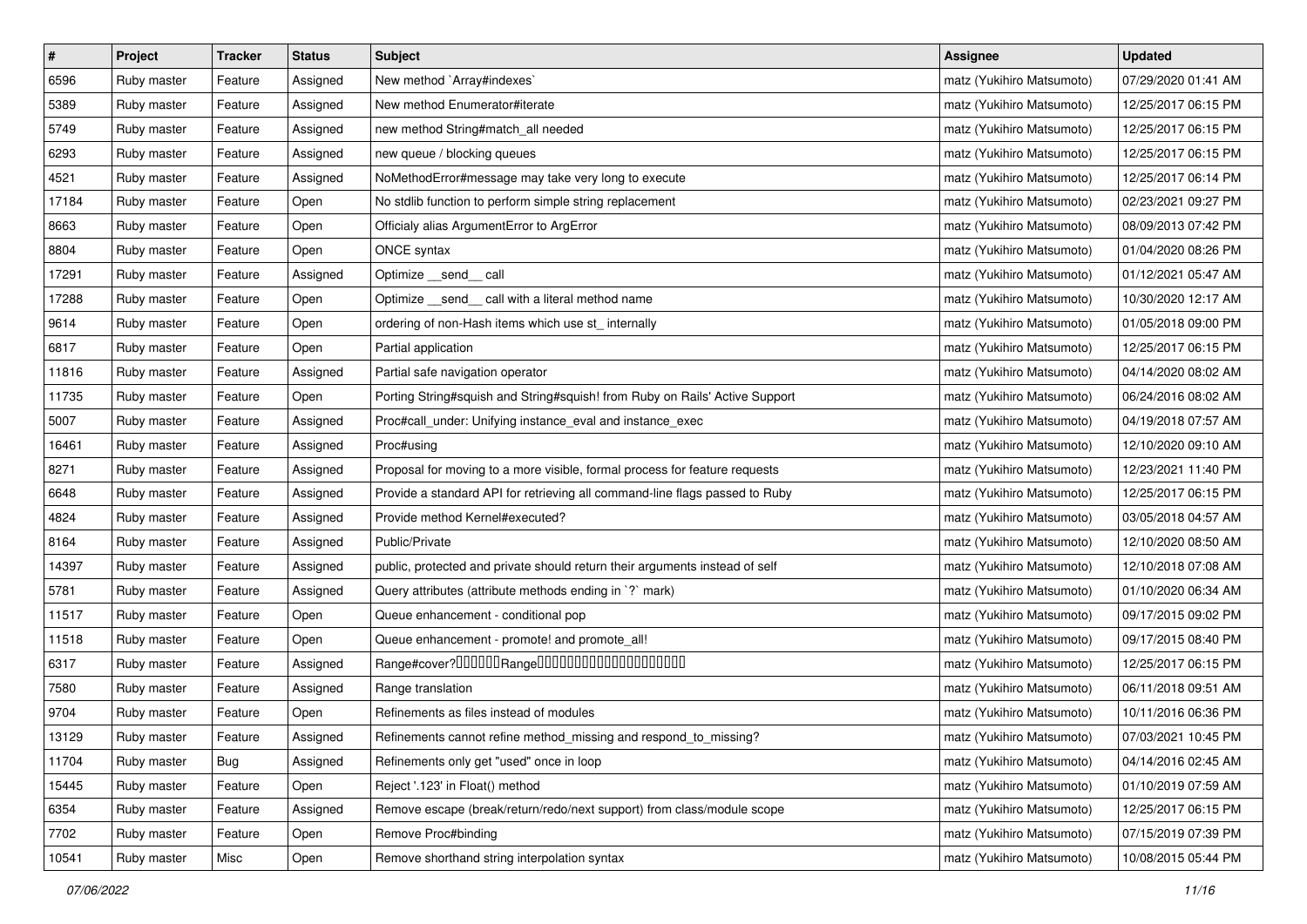| $\vert$ # | Project     | <b>Tracker</b> | <b>Status</b> | <b>Subject</b>                                                              | <b>Assignee</b>           | <b>Updated</b>      |
|-----------|-------------|----------------|---------------|-----------------------------------------------------------------------------|---------------------------|---------------------|
| 6596      | Ruby master | Feature        | Assigned      | New method `Array#indexes`                                                  | matz (Yukihiro Matsumoto) | 07/29/2020 01:41 AM |
| 5389      | Ruby master | Feature        | Assigned      | New method Enumerator#iterate                                               | matz (Yukihiro Matsumoto) | 12/25/2017 06:15 PM |
| 5749      | Ruby master | Feature        | Assigned      | new method String#match_all needed                                          | matz (Yukihiro Matsumoto) | 12/25/2017 06:15 PM |
| 6293      | Ruby master | Feature        | Assigned      | new queue / blocking queues                                                 | matz (Yukihiro Matsumoto) | 12/25/2017 06:15 PM |
| 4521      | Ruby master | Feature        | Assigned      | NoMethodError#message may take very long to execute                         | matz (Yukihiro Matsumoto) | 12/25/2017 06:14 PM |
| 17184     | Ruby master | Feature        | Open          | No stdlib function to perform simple string replacement                     | matz (Yukihiro Matsumoto) | 02/23/2021 09:27 PM |
| 8663      | Ruby master | Feature        | Open          | Officialy alias ArgumentError to ArgError                                   | matz (Yukihiro Matsumoto) | 08/09/2013 07:42 PM |
| 8804      | Ruby master | Feature        | Open          | <b>ONCE syntax</b>                                                          | matz (Yukihiro Matsumoto) | 01/04/2020 08:26 PM |
| 17291     | Ruby master | Feature        | Assigned      | Optimize __send__ call                                                      | matz (Yukihiro Matsumoto) | 01/12/2021 05:47 AM |
| 17288     | Ruby master | Feature        | Open          | Optimize _send_ call with a literal method name                             | matz (Yukihiro Matsumoto) | 10/30/2020 12:17 AM |
| 9614      | Ruby master | Feature        | Open          | ordering of non-Hash items which use st_ internally                         | matz (Yukihiro Matsumoto) | 01/05/2018 09:00 PM |
| 6817      | Ruby master | Feature        | Open          | Partial application                                                         | matz (Yukihiro Matsumoto) | 12/25/2017 06:15 PM |
| 11816     | Ruby master | Feature        | Assigned      | Partial safe navigation operator                                            | matz (Yukihiro Matsumoto) | 04/14/2020 08:02 AM |
| 11735     | Ruby master | Feature        | Open          | Porting String#squish and String#squish! from Ruby on Rails' Active Support | matz (Yukihiro Matsumoto) | 06/24/2016 08:02 AM |
| 5007      | Ruby master | Feature        | Assigned      | Proc#call_under: Unifying instance_eval and instance_exec                   | matz (Yukihiro Matsumoto) | 04/19/2018 07:57 AM |
| 16461     | Ruby master | Feature        | Assigned      | Proc#using                                                                  | matz (Yukihiro Matsumoto) | 12/10/2020 09:10 AM |
| 8271      | Ruby master | Feature        | Assigned      | Proposal for moving to a more visible, formal process for feature requests  | matz (Yukihiro Matsumoto) | 12/23/2021 11:40 PM |
| 6648      | Ruby master | Feature        | Assigned      | Provide a standard API for retrieving all command-line flags passed to Ruby | matz (Yukihiro Matsumoto) | 12/25/2017 06:15 PM |
| 4824      | Ruby master | Feature        | Assigned      | Provide method Kernel#executed?                                             | matz (Yukihiro Matsumoto) | 03/05/2018 04:57 AM |
| 8164      | Ruby master | Feature        | Assigned      | Public/Private                                                              | matz (Yukihiro Matsumoto) | 12/10/2020 08:50 AM |
| 14397     | Ruby master | Feature        | Assigned      | public, protected and private should return their arguments instead of self | matz (Yukihiro Matsumoto) | 12/10/2018 07:08 AM |
| 5781      | Ruby master | Feature        | Assigned      | Query attributes (attribute methods ending in `?` mark)                     | matz (Yukihiro Matsumoto) | 01/10/2020 06:34 AM |
| 11517     | Ruby master | Feature        | Open          | Queue enhancement - conditional pop                                         | matz (Yukihiro Matsumoto) | 09/17/2015 09:02 PM |
| 11518     | Ruby master | Feature        | Open          | Queue enhancement - promote! and promote_all!                               | matz (Yukihiro Matsumoto) | 09/17/2015 08:40 PM |
| 6317      | Ruby master | Feature        | Assigned      |                                                                             | matz (Yukihiro Matsumoto) | 12/25/2017 06:15 PM |
| 7580      | Ruby master | Feature        | Assigned      | Range translation                                                           | matz (Yukihiro Matsumoto) | 06/11/2018 09:51 AM |
| 9704      | Ruby master | Feature        | Open          | Refinements as files instead of modules                                     | matz (Yukihiro Matsumoto) | 10/11/2016 06:36 PM |
| 13129     | Ruby master | Feature        | Assigned      | Refinements cannot refine method_missing and respond_to_missing?            | matz (Yukihiro Matsumoto) | 07/03/2021 10:45 PM |
| 11704     | Ruby master | <b>Bug</b>     | Assigned      | Refinements only get "used" once in loop                                    | matz (Yukihiro Matsumoto) | 04/14/2016 02:45 AM |
| 15445     | Ruby master | Feature        | Open          | Reject '.123' in Float() method                                             | matz (Yukihiro Matsumoto) | 01/10/2019 07:59 AM |
| 6354      | Ruby master | Feature        | Assigned      | Remove escape (break/return/redo/next support) from class/module scope      | matz (Yukihiro Matsumoto) | 12/25/2017 06:15 PM |
| 7702      | Ruby master | Feature        | Open          | Remove Proc#binding                                                         | matz (Yukihiro Matsumoto) | 07/15/2019 07:39 PM |
| 10541     | Ruby master | Misc           | Open          | Remove shorthand string interpolation syntax                                | matz (Yukihiro Matsumoto) | 10/08/2015 05:44 PM |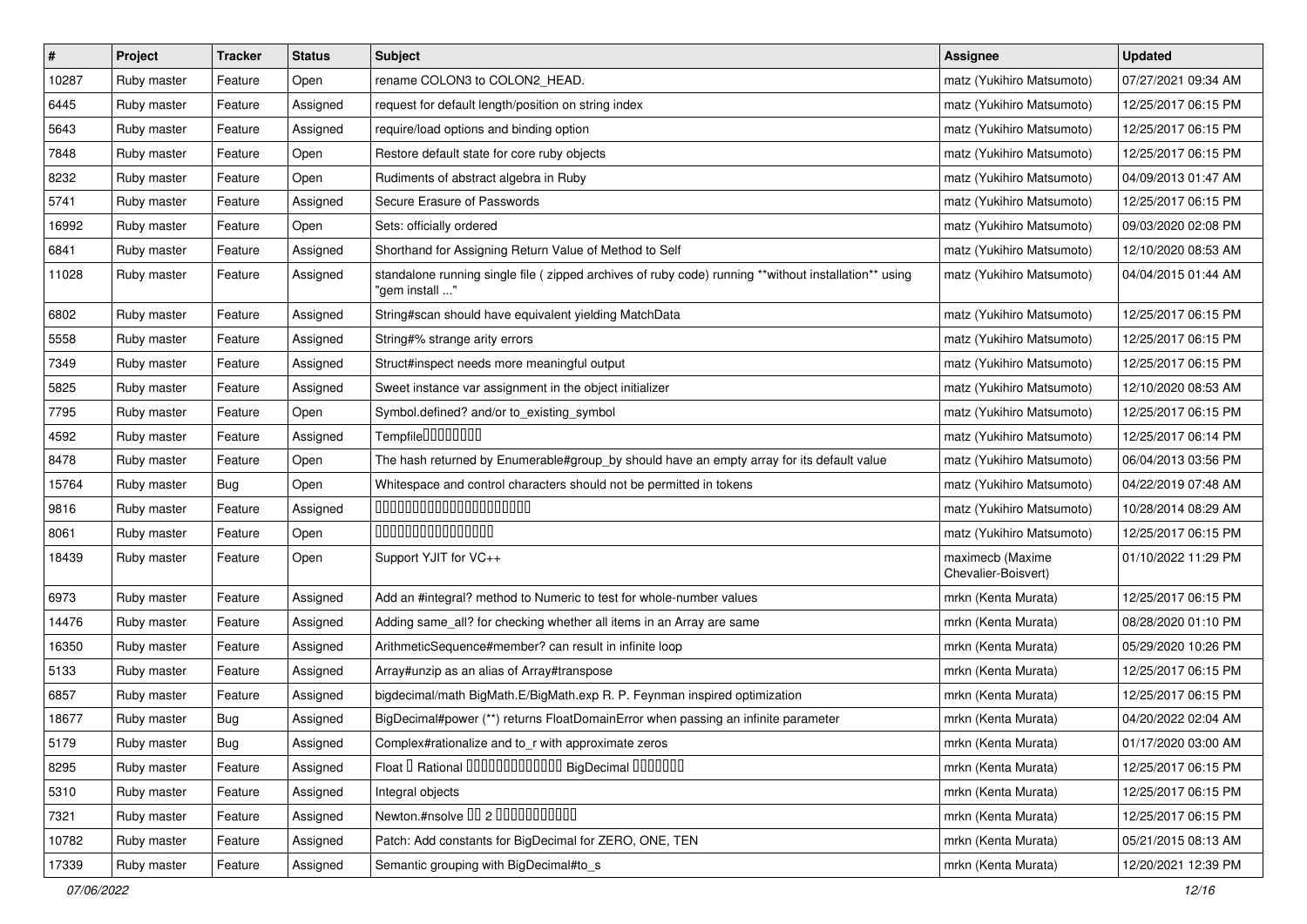| $\sharp$ | Project     | <b>Tracker</b> | <b>Status</b> | Subject                                                                                                                | <b>Assignee</b>                         | <b>Updated</b>      |
|----------|-------------|----------------|---------------|------------------------------------------------------------------------------------------------------------------------|-----------------------------------------|---------------------|
| 10287    | Ruby master | Feature        | Open          | rename COLON3 to COLON2_HEAD.                                                                                          | matz (Yukihiro Matsumoto)               | 07/27/2021 09:34 AM |
| 6445     | Ruby master | Feature        | Assigned      | request for default length/position on string index                                                                    | matz (Yukihiro Matsumoto)               | 12/25/2017 06:15 PM |
| 5643     | Ruby master | Feature        | Assigned      | require/load options and binding option                                                                                | matz (Yukihiro Matsumoto)               | 12/25/2017 06:15 PM |
| 7848     | Ruby master | Feature        | Open          | Restore default state for core ruby objects                                                                            | matz (Yukihiro Matsumoto)               | 12/25/2017 06:15 PM |
| 8232     | Ruby master | Feature        | Open          | Rudiments of abstract algebra in Ruby                                                                                  | matz (Yukihiro Matsumoto)               | 04/09/2013 01:47 AM |
| 5741     | Ruby master | Feature        | Assigned      | Secure Erasure of Passwords                                                                                            | matz (Yukihiro Matsumoto)               | 12/25/2017 06:15 PM |
| 16992    | Ruby master | Feature        | Open          | Sets: officially ordered                                                                                               | matz (Yukihiro Matsumoto)               | 09/03/2020 02:08 PM |
| 6841     | Ruby master | Feature        | Assigned      | Shorthand for Assigning Return Value of Method to Self                                                                 | matz (Yukihiro Matsumoto)               | 12/10/2020 08:53 AM |
| 11028    | Ruby master | Feature        | Assigned      | standalone running single file (zipped archives of ruby code) running **without installation** using<br>"gem install " | matz (Yukihiro Matsumoto)               | 04/04/2015 01:44 AM |
| 6802     | Ruby master | Feature        | Assigned      | String#scan should have equivalent yielding MatchData                                                                  | matz (Yukihiro Matsumoto)               | 12/25/2017 06:15 PM |
| 5558     | Ruby master | Feature        | Assigned      | String#% strange arity errors                                                                                          | matz (Yukihiro Matsumoto)               | 12/25/2017 06:15 PM |
| 7349     | Ruby master | Feature        | Assigned      | Struct#inspect needs more meaningful output                                                                            | matz (Yukihiro Matsumoto)               | 12/25/2017 06:15 PM |
| 5825     | Ruby master | Feature        | Assigned      | Sweet instance var assignment in the object initializer                                                                | matz (Yukihiro Matsumoto)               | 12/10/2020 08:53 AM |
| 7795     | Ruby master | Feature        | Open          | Symbol.defined? and/or to_existing_symbol                                                                              | matz (Yukihiro Matsumoto)               | 12/25/2017 06:15 PM |
| 4592     | Ruby master | Feature        | Assigned      | Tempfile0000000                                                                                                        | matz (Yukihiro Matsumoto)               | 12/25/2017 06:14 PM |
| 8478     | Ruby master | Feature        | Open          | The hash returned by Enumerable#group_by should have an empty array for its default value                              | matz (Yukihiro Matsumoto)               | 06/04/2013 03:56 PM |
| 15764    | Ruby master | Bug            | Open          | Whitespace and control characters should not be permitted in tokens                                                    | matz (Yukihiro Matsumoto)               | 04/22/2019 07:48 AM |
| 9816     | Ruby master | Feature        | Assigned      | 00000000000000000000                                                                                                   | matz (Yukihiro Matsumoto)               | 10/28/2014 08:29 AM |
| 8061     | Ruby master | Feature        | Open          | 000000000000000                                                                                                        | matz (Yukihiro Matsumoto)               | 12/25/2017 06:15 PM |
| 18439    | Ruby master | Feature        | Open          | Support YJIT for VC++                                                                                                  | maximecb (Maxime<br>Chevalier-Boisvert) | 01/10/2022 11:29 PM |
| 6973     | Ruby master | Feature        | Assigned      | Add an #integral? method to Numeric to test for whole-number values                                                    | mrkn (Kenta Murata)                     | 12/25/2017 06:15 PM |
| 14476    | Ruby master | Feature        | Assigned      | Adding same_all? for checking whether all items in an Array are same                                                   | mrkn (Kenta Murata)                     | 08/28/2020 01:10 PM |
| 16350    | Ruby master | Feature        | Assigned      | ArithmeticSequence#member? can result in infinite loop                                                                 | mrkn (Kenta Murata)                     | 05/29/2020 10:26 PM |
| 5133     | Ruby master | Feature        | Assigned      | Array#unzip as an alias of Array#transpose                                                                             | mrkn (Kenta Murata)                     | 12/25/2017 06:15 PM |
| 6857     | Ruby master | Feature        | Assigned      | bigdecimal/math BigMath.E/BigMath.exp R. P. Feynman inspired optimization                                              | mrkn (Kenta Murata)                     | 12/25/2017 06:15 PM |
| 18677    | Ruby master | Bug            | Assigned      | BigDecimal#power (**) returns FloatDomainError when passing an infinite parameter                                      | mrkn (Kenta Murata)                     | 04/20/2022 02:04 AM |
| 5179     | Ruby master | Bug            | Assigned      | Complex#rationalize and to_r with approximate zeros                                                                    | mrkn (Kenta Murata)                     | 01/17/2020 03:00 AM |
| 8295     | Ruby master | Feature        | Assigned      | Float I Rational 0000000000000 BigDecimal 0000000                                                                      | mrkn (Kenta Murata)                     | 12/25/2017 06:15 PM |
| 5310     | Ruby master | Feature        | Assigned      | Integral objects                                                                                                       | mrkn (Kenta Murata)                     | 12/25/2017 06:15 PM |
| 7321     | Ruby master | Feature        | Assigned      | Newton.#nsolve 00 2 0000000000                                                                                         | mrkn (Kenta Murata)                     | 12/25/2017 06:15 PM |
| 10782    | Ruby master | Feature        | Assigned      | Patch: Add constants for BigDecimal for ZERO, ONE, TEN                                                                 | mrkn (Kenta Murata)                     | 05/21/2015 08:13 AM |
| 17339    | Ruby master | Feature        | Assigned      | Semantic grouping with BigDecimal#to_s                                                                                 | mrkn (Kenta Murata)                     | 12/20/2021 12:39 PM |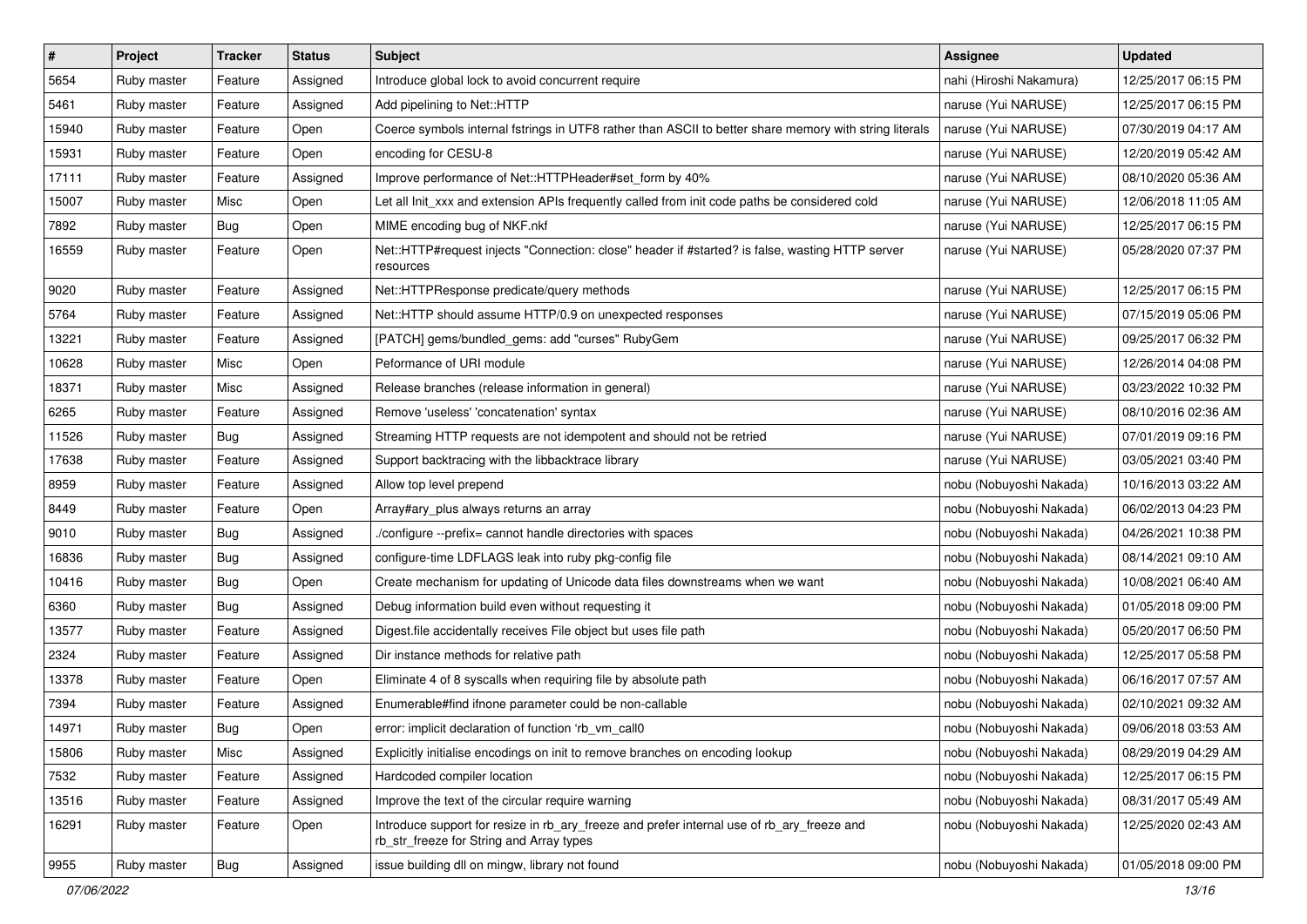| $\pmb{\#}$ | Project     | <b>Tracker</b> | <b>Status</b> | <b>Subject</b>                                                                                                                         | <b>Assignee</b>         | <b>Updated</b>      |
|------------|-------------|----------------|---------------|----------------------------------------------------------------------------------------------------------------------------------------|-------------------------|---------------------|
| 5654       | Ruby master | Feature        | Assigned      | Introduce global lock to avoid concurrent require                                                                                      | nahi (Hiroshi Nakamura) | 12/25/2017 06:15 PM |
| 5461       | Ruby master | Feature        | Assigned      | Add pipelining to Net::HTTP                                                                                                            | naruse (Yui NARUSE)     | 12/25/2017 06:15 PM |
| 15940      | Ruby master | Feature        | Open          | Coerce symbols internal fstrings in UTF8 rather than ASCII to better share memory with string literals                                 | naruse (Yui NARUSE)     | 07/30/2019 04:17 AM |
| 15931      | Ruby master | Feature        | Open          | encoding for CESU-8                                                                                                                    | naruse (Yui NARUSE)     | 12/20/2019 05:42 AM |
| 17111      | Ruby master | Feature        | Assigned      | Improve performance of Net::HTTPHeader#set_form by 40%                                                                                 | naruse (Yui NARUSE)     | 08/10/2020 05:36 AM |
| 15007      | Ruby master | Misc           | Open          | Let all Init xxx and extension APIs frequently called from init code paths be considered cold                                          | naruse (Yui NARUSE)     | 12/06/2018 11:05 AM |
| 7892       | Ruby master | Bug            | Open          | MIME encoding bug of NKF.nkf                                                                                                           | naruse (Yui NARUSE)     | 12/25/2017 06:15 PM |
| 16559      | Ruby master | Feature        | Open          | Net::HTTP#request injects "Connection: close" header if #started? is false, wasting HTTP server<br>resources                           | naruse (Yui NARUSE)     | 05/28/2020 07:37 PM |
| 9020       | Ruby master | Feature        | Assigned      | Net::HTTPResponse predicate/query methods                                                                                              | naruse (Yui NARUSE)     | 12/25/2017 06:15 PM |
| 5764       | Ruby master | Feature        | Assigned      | Net::HTTP should assume HTTP/0.9 on unexpected responses                                                                               | naruse (Yui NARUSE)     | 07/15/2019 05:06 PM |
| 13221      | Ruby master | Feature        | Assigned      | [PATCH] gems/bundled_gems: add "curses" RubyGem                                                                                        | naruse (Yui NARUSE)     | 09/25/2017 06:32 PM |
| 10628      | Ruby master | Misc           | Open          | Peformance of URI module                                                                                                               | naruse (Yui NARUSE)     | 12/26/2014 04:08 PM |
| 18371      | Ruby master | Misc           | Assigned      | Release branches (release information in general)                                                                                      | naruse (Yui NARUSE)     | 03/23/2022 10:32 PM |
| 6265       | Ruby master | Feature        | Assigned      | Remove 'useless' 'concatenation' syntax                                                                                                | naruse (Yui NARUSE)     | 08/10/2016 02:36 AM |
| 11526      | Ruby master | Bug            | Assigned      | Streaming HTTP requests are not idempotent and should not be retried                                                                   | naruse (Yui NARUSE)     | 07/01/2019 09:16 PM |
| 17638      | Ruby master | Feature        | Assigned      | Support backtracing with the libbacktrace library                                                                                      | naruse (Yui NARUSE)     | 03/05/2021 03:40 PM |
| 8959       | Ruby master | Feature        | Assigned      | Allow top level prepend                                                                                                                | nobu (Nobuyoshi Nakada) | 10/16/2013 03:22 AM |
| 8449       | Ruby master | Feature        | Open          | Array#ary_plus always returns an array                                                                                                 | nobu (Nobuyoshi Nakada) | 06/02/2013 04:23 PM |
| 9010       | Ruby master | Bug            | Assigned      | ./configure --prefix= cannot handle directories with spaces                                                                            | nobu (Nobuyoshi Nakada) | 04/26/2021 10:38 PM |
| 16836      | Ruby master | Bug            | Assigned      | configure-time LDFLAGS leak into ruby pkg-config file                                                                                  | nobu (Nobuyoshi Nakada) | 08/14/2021 09:10 AM |
| 10416      | Ruby master | Bug            | Open          | Create mechanism for updating of Unicode data files downstreams when we want                                                           | nobu (Nobuyoshi Nakada) | 10/08/2021 06:40 AM |
| 6360       | Ruby master | Bug            | Assigned      | Debug information build even without requesting it                                                                                     | nobu (Nobuyoshi Nakada) | 01/05/2018 09:00 PM |
| 13577      | Ruby master | Feature        | Assigned      | Digest file accidentally receives File object but uses file path                                                                       | nobu (Nobuyoshi Nakada) | 05/20/2017 06:50 PM |
| 2324       | Ruby master | Feature        | Assigned      | Dir instance methods for relative path                                                                                                 | nobu (Nobuyoshi Nakada) | 12/25/2017 05:58 PM |
| 13378      | Ruby master | Feature        | Open          | Eliminate 4 of 8 syscalls when requiring file by absolute path                                                                         | nobu (Nobuyoshi Nakada) | 06/16/2017 07:57 AM |
| 7394       | Ruby master | Feature        | Assigned      | Enumerable#find ifnone parameter could be non-callable                                                                                 | nobu (Nobuyoshi Nakada) | 02/10/2021 09:32 AM |
| 14971      | Ruby master | Bug            | Open          | error: implicit declaration of function 'rb vm call0                                                                                   | nobu (Nobuyoshi Nakada) | 09/06/2018 03:53 AM |
| 15806      | Ruby master | Misc           | Assigned      | Explicitly initialise encodings on init to remove branches on encoding lookup                                                          | nobu (Nobuyoshi Nakada) | 08/29/2019 04:29 AM |
| 7532       | Ruby master | Feature        | Assigned      | Hardcoded compiler location                                                                                                            | nobu (Nobuyoshi Nakada) | 12/25/2017 06:15 PM |
| 13516      | Ruby master | Feature        | Assigned      | Improve the text of the circular require warning                                                                                       | nobu (Nobuyoshi Nakada) | 08/31/2017 05:49 AM |
| 16291      | Ruby master | Feature        | Open          | Introduce support for resize in rb_ary_freeze and prefer internal use of rb_ary_freeze and<br>rb_str_freeze for String and Array types | nobu (Nobuyoshi Nakada) | 12/25/2020 02:43 AM |
| 9955       | Ruby master | <b>Bug</b>     | Assigned      | issue building dll on mingw, library not found                                                                                         | nobu (Nobuyoshi Nakada) | 01/05/2018 09:00 PM |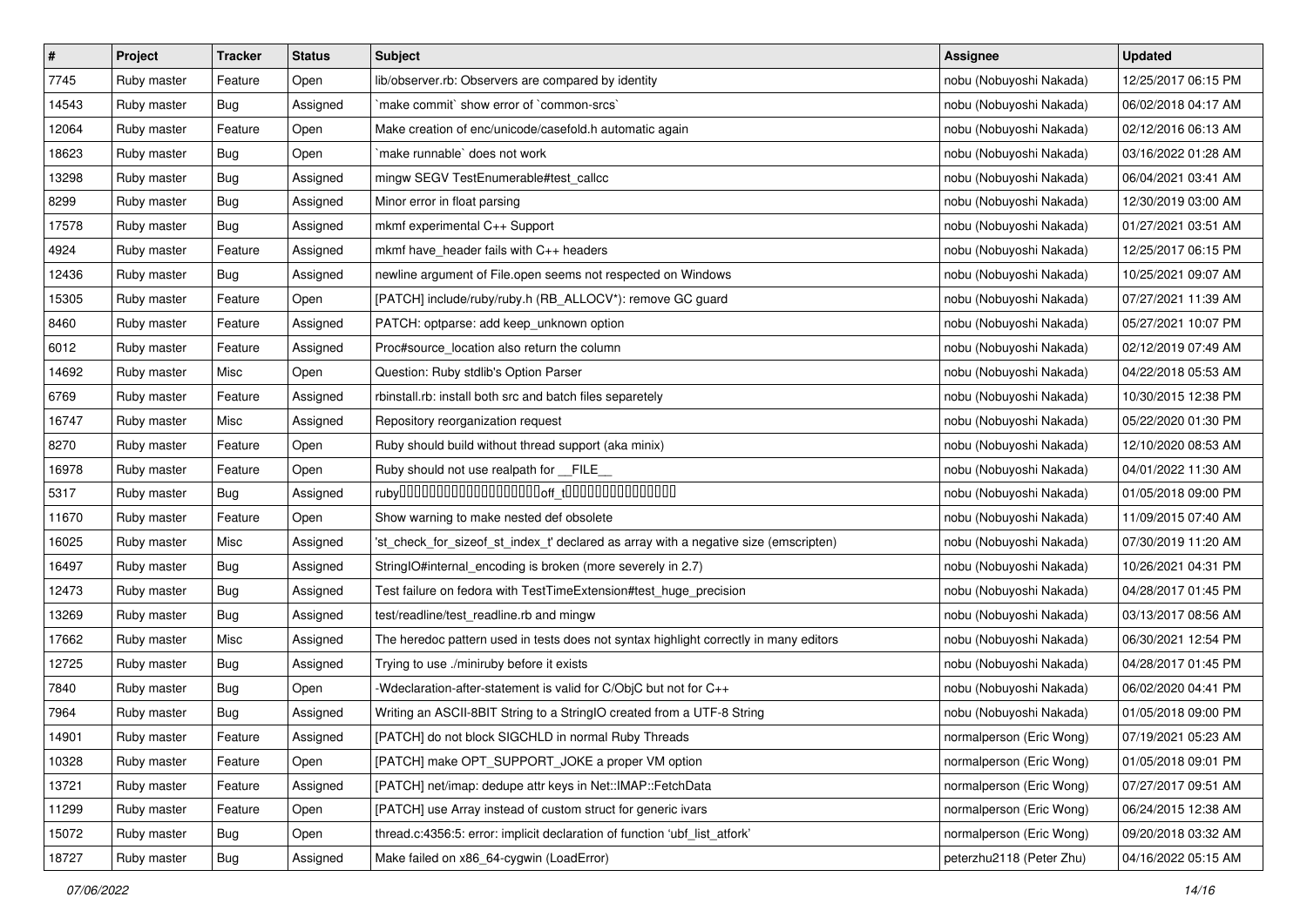| $\pmb{\#}$ | Project     | <b>Tracker</b> | <b>Status</b> | <b>Subject</b>                                                                        | Assignee                 | <b>Updated</b>      |
|------------|-------------|----------------|---------------|---------------------------------------------------------------------------------------|--------------------------|---------------------|
| 7745       | Ruby master | Feature        | Open          | lib/observer.rb: Observers are compared by identity                                   | nobu (Nobuyoshi Nakada)  | 12/25/2017 06:15 PM |
| 14543      | Ruby master | Bug            | Assigned      | `make commit` show error of `common-srcs`                                             | nobu (Nobuyoshi Nakada)  | 06/02/2018 04:17 AM |
| 12064      | Ruby master | Feature        | Open          | Make creation of enc/unicode/casefold.h automatic again                               | nobu (Nobuyoshi Nakada)  | 02/12/2016 06:13 AM |
| 18623      | Ruby master | Bug            | Open          | make runnable' does not work                                                          | nobu (Nobuyoshi Nakada)  | 03/16/2022 01:28 AM |
| 13298      | Ruby master | Bug            | Assigned      | mingw SEGV TestEnumerable#test_callcc                                                 | nobu (Nobuyoshi Nakada)  | 06/04/2021 03:41 AM |
| 8299       | Ruby master | <b>Bug</b>     | Assigned      | Minor error in float parsing                                                          | nobu (Nobuyoshi Nakada)  | 12/30/2019 03:00 AM |
| 17578      | Ruby master | Bug            | Assigned      | mkmf experimental C++ Support                                                         | nobu (Nobuyoshi Nakada)  | 01/27/2021 03:51 AM |
| 4924       | Ruby master | Feature        | Assigned      | mkmf have_header fails with C++ headers                                               | nobu (Nobuyoshi Nakada)  | 12/25/2017 06:15 PM |
| 12436      | Ruby master | Bug            | Assigned      | newline argument of File.open seems not respected on Windows                          | nobu (Nobuyoshi Nakada)  | 10/25/2021 09:07 AM |
| 15305      | Ruby master | Feature        | Open          | [PATCH] include/ruby/ruby.h (RB_ALLOCV*): remove GC guard                             | nobu (Nobuyoshi Nakada)  | 07/27/2021 11:39 AM |
| 8460       | Ruby master | Feature        | Assigned      | PATCH: optparse: add keep_unknown option                                              | nobu (Nobuyoshi Nakada)  | 05/27/2021 10:07 PM |
| 6012       | Ruby master | Feature        | Assigned      | Proc#source_location also return the column                                           | nobu (Nobuyoshi Nakada)  | 02/12/2019 07:49 AM |
| 14692      | Ruby master | Misc           | Open          | Question: Ruby stdlib's Option Parser                                                 | nobu (Nobuyoshi Nakada)  | 04/22/2018 05:53 AM |
| 6769       | Ruby master | Feature        | Assigned      | rbinstall.rb: install both src and batch files separetely                             | nobu (Nobuyoshi Nakada)  | 10/30/2015 12:38 PM |
| 16747      | Ruby master | Misc           | Assigned      | Repository reorganization request                                                     | nobu (Nobuyoshi Nakada)  | 05/22/2020 01:30 PM |
| 8270       | Ruby master | Feature        | Open          | Ruby should build without thread support (aka minix)                                  | nobu (Nobuyoshi Nakada)  | 12/10/2020 08:53 AM |
| 16978      | Ruby master | Feature        | Open          | Ruby should not use realpath for FILE                                                 | nobu (Nobuyoshi Nakada)  | 04/01/2022 11:30 AM |
| 5317       | Ruby master | Bug            | Assigned      |                                                                                       | nobu (Nobuyoshi Nakada)  | 01/05/2018 09:00 PM |
| 11670      | Ruby master | Feature        | Open          | Show warning to make nested def obsolete                                              | nobu (Nobuyoshi Nakada)  | 11/09/2015 07:40 AM |
| 16025      | Ruby master | Misc           | Assigned      | 'st_check_for_sizeof_st_index_t' declared as array with a negative size (emscripten)  | nobu (Nobuyoshi Nakada)  | 07/30/2019 11:20 AM |
| 16497      | Ruby master | Bug            | Assigned      | StringIO#internal_encoding is broken (more severely in 2.7)                           | nobu (Nobuyoshi Nakada)  | 10/26/2021 04:31 PM |
| 12473      | Ruby master | <b>Bug</b>     | Assigned      | Test failure on fedora with TestTimeExtension#test_huge_precision                     | nobu (Nobuyoshi Nakada)  | 04/28/2017 01:45 PM |
| 13269      | Ruby master | Bug            | Assigned      | test/readline/test_readline.rb and mingw                                              | nobu (Nobuyoshi Nakada)  | 03/13/2017 08:56 AM |
| 17662      | Ruby master | Misc           | Assigned      | The heredoc pattern used in tests does not syntax highlight correctly in many editors | nobu (Nobuyoshi Nakada)  | 06/30/2021 12:54 PM |
| 12725      | Ruby master | Bug            | Assigned      | Trying to use ./miniruby before it exists                                             | nobu (Nobuyoshi Nakada)  | 04/28/2017 01:45 PM |
| 7840       | Ruby master | Bug            | Open          | -Wdeclaration-after-statement is valid for C/ObjC but not for C++                     | nobu (Nobuyoshi Nakada)  | 06/02/2020 04:41 PM |
| 7964       | Ruby master | <b>Bug</b>     | Assigned      | Writing an ASCII-8BIT String to a StringIO created from a UTF-8 String                | nobu (Nobuyoshi Nakada)  | 01/05/2018 09:00 PM |
| 14901      | Ruby master | Feature        | Assigned      | [PATCH] do not block SIGCHLD in normal Ruby Threads                                   | normalperson (Eric Wong) | 07/19/2021 05:23 AM |
| 10328      | Ruby master | Feature        | Open          | [PATCH] make OPT SUPPORT JOKE a proper VM option                                      | normalperson (Eric Wong) | 01/05/2018 09:01 PM |
| 13721      | Ruby master | Feature        | Assigned      | [PATCH] net/imap: dedupe attr keys in Net::IMAP::FetchData                            | normalperson (Eric Wong) | 07/27/2017 09:51 AM |
| 11299      | Ruby master | Feature        | Open          | [PATCH] use Array instead of custom struct for generic ivars                          | normalperson (Eric Wong) | 06/24/2015 12:38 AM |
| 15072      | Ruby master | <b>Bug</b>     | Open          | thread.c:4356:5: error: implicit declaration of function 'ubf list atfork'            | normalperson (Eric Wong) | 09/20/2018 03:32 AM |
| 18727      | Ruby master | Bug            | Assigned      | Make failed on x86_64-cygwin (LoadError)                                              | peterzhu2118 (Peter Zhu) | 04/16/2022 05:15 AM |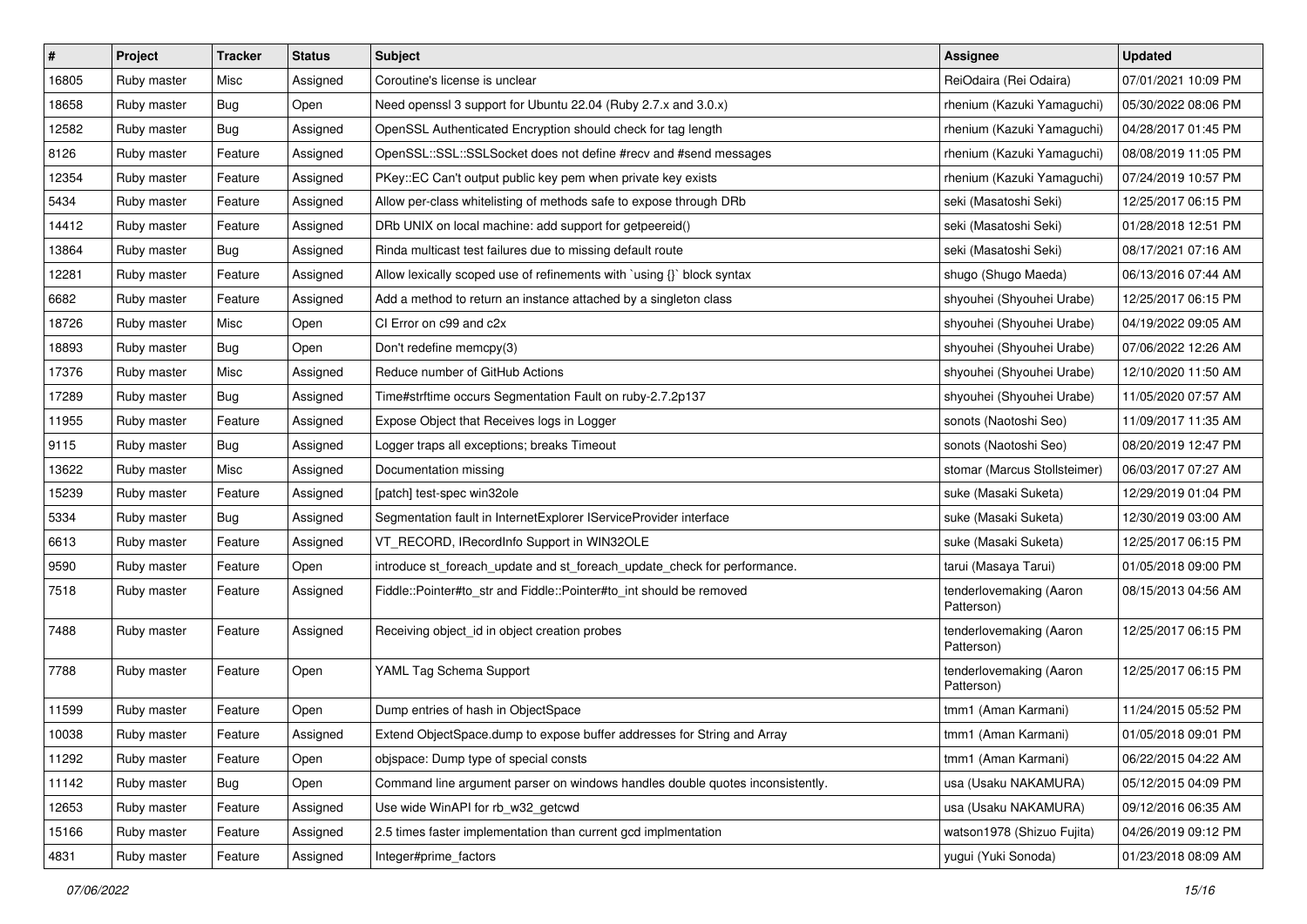| $\sharp$ | Project     | Tracker | <b>Status</b> | <b>Subject</b>                                                                | <b>Assignee</b>                       | <b>Updated</b>      |
|----------|-------------|---------|---------------|-------------------------------------------------------------------------------|---------------------------------------|---------------------|
| 16805    | Ruby master | Misc    | Assigned      | Coroutine's license is unclear                                                | ReiOdaira (Rei Odaira)                | 07/01/2021 10:09 PM |
| 18658    | Ruby master | Bug     | Open          | Need openssl 3 support for Ubuntu 22.04 (Ruby 2.7.x and 3.0.x)                | rhenium (Kazuki Yamaguchi)            | 05/30/2022 08:06 PM |
| 12582    | Ruby master | Bug     | Assigned      | OpenSSL Authenticated Encryption should check for tag length                  | rhenium (Kazuki Yamaguchi)            | 04/28/2017 01:45 PM |
| 8126     | Ruby master | Feature | Assigned      | OpenSSL::SSL::SSLSocket does not define #recv and #send messages              | rhenium (Kazuki Yamaguchi)            | 08/08/2019 11:05 PM |
| 12354    | Ruby master | Feature | Assigned      | PKey::EC Can't output public key pem when private key exists                  | rhenium (Kazuki Yamaguchi)            | 07/24/2019 10:57 PM |
| 5434     | Ruby master | Feature | Assigned      | Allow per-class whitelisting of methods safe to expose through DRb            | seki (Masatoshi Seki)                 | 12/25/2017 06:15 PM |
| 14412    | Ruby master | Feature | Assigned      | DRb UNIX on local machine: add support for getpeereid()                       | seki (Masatoshi Seki)                 | 01/28/2018 12:51 PM |
| 13864    | Ruby master | Bug     | Assigned      | Rinda multicast test failures due to missing default route                    | seki (Masatoshi Seki)                 | 08/17/2021 07:16 AM |
| 12281    | Ruby master | Feature | Assigned      | Allow lexically scoped use of refinements with `using {}` block syntax        | shugo (Shugo Maeda)                   | 06/13/2016 07:44 AM |
| 6682     | Ruby master | Feature | Assigned      | Add a method to return an instance attached by a singleton class              | shyouhei (Shyouhei Urabe)             | 12/25/2017 06:15 PM |
| 18726    | Ruby master | Misc    | Open          | CI Error on c99 and c2x                                                       | shyouhei (Shyouhei Urabe)             | 04/19/2022 09:05 AM |
| 18893    | Ruby master | Bug     | Open          | Don't redefine memcpy(3)                                                      | shyouhei (Shyouhei Urabe)             | 07/06/2022 12:26 AM |
| 17376    | Ruby master | Misc    | Assigned      | Reduce number of GitHub Actions                                               | shyouhei (Shyouhei Urabe)             | 12/10/2020 11:50 AM |
| 17289    | Ruby master | Bug     | Assigned      | Time#strftime occurs Segmentation Fault on ruby-2.7.2p137                     | shyouhei (Shyouhei Urabe)             | 11/05/2020 07:57 AM |
| 11955    | Ruby master | Feature | Assigned      | Expose Object that Receives logs in Logger                                    | sonots (Naotoshi Seo)                 | 11/09/2017 11:35 AM |
| 9115     | Ruby master | Bug     | Assigned      | Logger traps all exceptions; breaks Timeout                                   | sonots (Naotoshi Seo)                 | 08/20/2019 12:47 PM |
| 13622    | Ruby master | Misc    | Assigned      | Documentation missing                                                         | stomar (Marcus Stollsteimer)          | 06/03/2017 07:27 AM |
| 15239    | Ruby master | Feature | Assigned      | [patch] test-spec win32ole                                                    | suke (Masaki Suketa)                  | 12/29/2019 01:04 PM |
| 5334     | Ruby master | Bug     | Assigned      | Segmentation fault in InternetExplorer IServiceProvider interface             | suke (Masaki Suketa)                  | 12/30/2019 03:00 AM |
| 6613     | Ruby master | Feature | Assigned      | VT_RECORD, IRecordInfo Support in WIN32OLE                                    | suke (Masaki Suketa)                  | 12/25/2017 06:15 PM |
| 9590     | Ruby master | Feature | Open          | introduce st_foreach_update and st_foreach_update_check for performance.      | tarui (Masaya Tarui)                  | 01/05/2018 09:00 PM |
| 7518     | Ruby master | Feature | Assigned      | Fiddle::Pointer#to_str and Fiddle::Pointer#to_int should be removed           | tenderlovemaking (Aaron<br>Patterson) | 08/15/2013 04:56 AM |
| 7488     | Ruby master | Feature | Assigned      | Receiving object_id in object creation probes                                 | tenderlovemaking (Aaron<br>Patterson) | 12/25/2017 06:15 PM |
| 7788     | Ruby master | Feature | Open          | YAML Tag Schema Support                                                       | tenderlovemaking (Aaron<br>Patterson) | 12/25/2017 06:15 PM |
| 11599    | Ruby master | Feature | Open          | Dump entries of hash in ObjectSpace                                           | tmm1 (Aman Karmani)                   | 11/24/2015 05:52 PM |
| 10038    | Ruby master | Feature | Assigned      | Extend ObjectSpace.dump to expose buffer addresses for String and Array       | tmm1 (Aman Karmani)                   | 01/05/2018 09:01 PM |
| 11292    | Ruby master | Feature | Open          | obispace: Dump type of special consts                                         | tmm1 (Aman Karmani)                   | 06/22/2015 04:22 AM |
| 11142    | Ruby master | Bug     | Open          | Command line argument parser on windows handles double quotes inconsistently. | usa (Usaku NAKAMURA)                  | 05/12/2015 04:09 PM |
| 12653    | Ruby master | Feature | Assigned      | Use wide WinAPI for rb_w32_getcwd                                             | usa (Usaku NAKAMURA)                  | 09/12/2016 06:35 AM |
| 15166    | Ruby master | Feature | Assigned      | 2.5 times faster implementation than current gcd implmentation                | watson1978 (Shizuo Fujita)            | 04/26/2019 09:12 PM |
| 4831     | Ruby master | Feature | Assigned      | Integer#prime_factors                                                         | yugui (Yuki Sonoda)                   | 01/23/2018 08:09 AM |